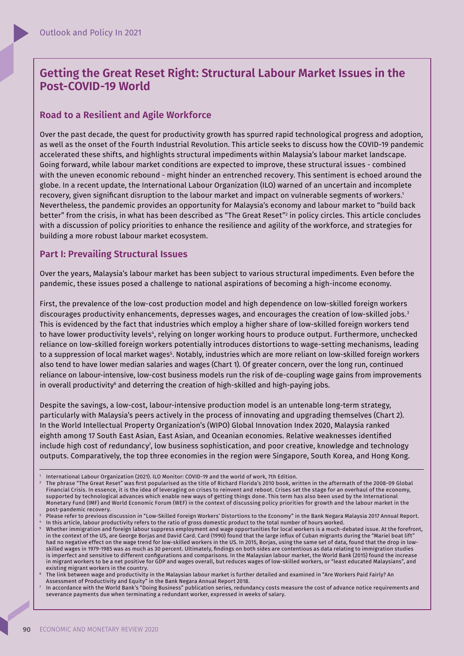# **Getting the Great Reset Right: Structural Labour Market Issues in the Post-COVID-19 World**

## **Road to a Resilient and Agile Workforce**

Over the past decade, the quest for productivity growth has spurred rapid technological progress and adoption, as well as the onset of the Fourth Industrial Revolution. This article seeks to discuss how the COVID-19 pandemic accelerated these shifts, and highlights structural impediments within Malaysia's labour market landscape. Going forward, while labour market conditions are expected to improve, these structural issues - combined with the uneven economic rebound - might hinder an entrenched recovery. This sentiment is echoed around the globe. In a recent update, the International Labour Organization (ILO) warned of an uncertain and incomplete recovery, given significant disruption to the labour market and impact on vulnerable segments of workers.<sup>1</sup> Nevertheless, the pandemic provides an opportunity for Malaysia's economy and labour market to "build back better" from the crisis, in what has been described as "The Great Reset"<sup>2</sup> in policy circles. This article concludes with a discussion of policy priorities to enhance the resilience and agility of the workforce, and strategies for building a more robust labour market ecosystem.

# **Part I: Prevailing Structural Issues**

Over the years, Malaysia's labour market has been subject to various structural impediments. Even before the pandemic, these issues posed a challenge to national aspirations of becoming a high-income economy.

First, the prevalence of the low-cost production model and high dependence on low-skilled foreign workers discourages productivity enhancements, depresses wages, and encourages the creation of low-skilled jobs.<sup>3</sup> This is evidenced by the fact that industries which employ a higher share of low-skilled foreign workers tend to have lower productivity levels", relying on longer working hours to produce output. Furthermore, unchecked reliance on low-skilled foreign workers potentially introduces distortions to wage-setting mechanisms, leading to a suppression of local market wages§. Notably, industries which are more reliant on low-skilled foreign workers also tend to have lower median salaries and wages (Chart 1). Of greater concern, over the long run, continued reliance on labour-intensive, low-cost business models run the risk of de-coupling wage gains from improvements in overall productivity $\mathfrak s$  and deterring the creation of high-skilled and high-paying jobs.

Despite the savings, a low-cost, labour-intensive production model is an untenable long-term strategy, particularly with Malaysia's peers actively in the process of innovating and upgrading themselves (Chart 2). In the World Intellectual Property Organization's (WIPO) Global Innovation Index 2020, Malaysia ranked eighth among 17 South East Asian, East Asian, and Oceanian economies. Relative weaknesses identified include high cost of redundancy<sup>7</sup>, low business sophistication, and poor creative, knowledge and technology outputs. Comparatively, the top three economies in the region were Singapore, South Korea, and Hong Kong.

<sup>1</sup> International Labour Organization (2021). ILO Monitor: COVID-19 and the world of work, 7th Edition.

<sup>2</sup> The phrase "The Great Reset" was first popularised as the title of Richard Florida's 2010 book, written in the aftermath of the 2008-09 Global Financial Crisis. In essence, it is the idea of leveraging on crises to reinvent and reboot. Crises set the stage for an overhaul of the economy, supported by technological advances which enable new ways of getting things done. This term has also been used by the International Monetary Fund (IMF) and World Economic Forum (WEF) in the context of discussing policy priorities for growth and the labour market in the post-pandemic recovery.

<sup>3</sup> Please refer to previous discussion in "Low-Skilled Foreign Workers' Distortions to the Economy" in the Bank Negara Malaysia 2017 Annual Report. 4 In this article, labour productivity refers to the ratio of gross domestic product to the total number of hours worked.

Whether immigration and foreign labour suppress employment and wage opportunities for local workers is a much-debated issue. At the forefront, in the context of the US, are George Borjas and David Card. Card (1990) found that the large influx of Cuban migrants during the "Mariel boat lift" had no negative effect on the wage trend for low-skilled workers in the US. In 2015, Borjas, using the same set of data, found that the drop in lowskilled wages in 1979-1985 was as much as 30 percent. Ultimately, findings on both sides are contentious as data relating to immigration studies is imperfect and sensitive to different configurations and comparisons. In the Malaysian labour market, the World Bank (2015) found the increase in migrant workers to be a net positive for GDP and wages overall, but reduces wages of low-skilled workers, or "least educated Malaysians", and existing migrant workers in the country.

<sup>6</sup> The link between wage and productivity in the Malaysian labour market is further detailed and examined in "Are Workers Paid Fairly? An Assessment of Productivity and Equity" in the Bank Negara Annual Report 2018.

<sup>7</sup> In accordance with the World Bank's "Doing Business" publication series, redundancy costs measure the cost of advance notice requirements and severance payments due when terminating a redundant worker, expressed in weeks of salary.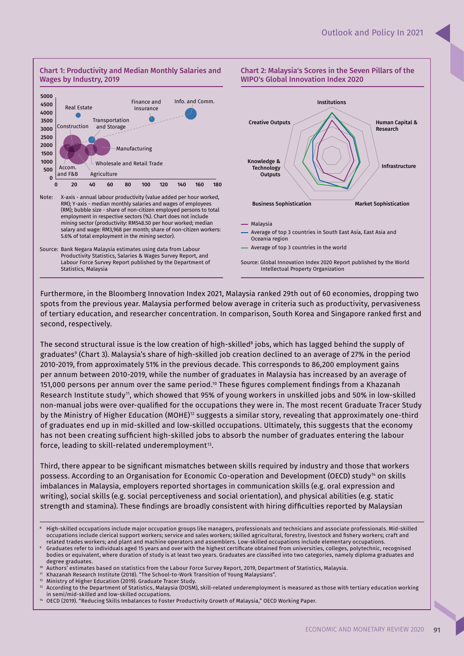Infrastructure



Note: X-axis - annual labour productivity (value added per hour worked, RM); Y-axis - median monthly salaries and wages of employees (RM); bubble size - share of non-citizen employed persons to total employment in respective sectors (%). Chart does not include *mining* sector (productivity: RM548.50 per hour worked; median salary and wage: RM3,968 per month; share of non-citizen workers: 5.6% of total employment in the *mining* sector).

Agriculture

0 20 40 60 80 100 120 140 160 180

 $\mathbf{0}$ 500

# Institutions Creative Outputs WIPO's Global Innovation Index 2020 Human Capital & Research

Chart 2: Malaysia's Scores in the Seven Pillars of the

Malaysia

Knowledge & **Technology Outputs** 

Average of top 3 countries in South East Asia, East Asia and Oceania region

Average of top 3 countries in the world

Source: Global Innovation Index 2020 Report published by the World Intellectual Property Organization

Business Sophistication Market Sophistication

Furthermore, in the Bloomberg Innovation Index 2021, Malaysia ranked 29th out of 60 economies, dropping two spots from the previous year. Malaysia performed below average in criteria such as productivity, pervasiveness of tertiary education, and researcher concentration. In comparison, South Korea and Singapore ranked first and second, respectively.

The second structural issue is the low creation of high-skilled<sup>8</sup> jobs, which has lagged behind the supply of graduatesº (Chart 3). Malaysia's share of high-skilled job creation declined to an average of 27% in the period 2010-2019, from approximately 51% in the previous decade. This corresponds to 86,200 employment gains per annum between 2010-2019, while the number of graduates in Malaysia has increased by an average of 151,000 persons per annum over the same period.<sup>10</sup> These figures complement findings from a Khazanah Research Institute study<sup>11</sup>, which showed that 95% of young workers in unskilled jobs and 50% in low-skilled non-manual jobs were over-qualified for the occupations they were in. The most recent Graduate Tracer Study by the Ministry of Higher Education (MOHE)<sup>12</sup> suggests a similar story, revealing that approximately one-third of graduates end up in mid-skilled and low-skilled occupations. Ultimately, this suggests that the economy has not been creating sufficient high-skilled jobs to absorb the number of graduates entering the labour force, leading to skill-related underemployment $^{\scriptscriptstyle 13}$ .

Third, there appear to be significant mismatches between skills required by industry and those that workers possess. According to an Organisation for Economic Co-operation and Development (OECD) study<sup>14</sup> on skills imbalances in Malaysia, employers reported shortages in communication skills (e.g. oral expression and writing), social skills (e.g. social perceptiveness and social orientation), and physical abilities (e.g. static strength and stamina). These findings are broadly consistent with hiring difficulties reported by Malaysian

- Khazanah Research Institute (2018). "The School-to-Work Transition of Young Malaysians".
- <sup>12</sup> Ministry of Higher Education (2019). Graduate Tracer Study.<br><sup>13</sup> According to the Department of Ctatistics, Malaysia (DOSM).

<sup>14</sup> OECD (2019). "Reducing Skills Imbalances to Foster Productivity Growth of Malaysia," OECD Working Paper.

Source: Bank Negara Malaysia estimates using data from Labour Productivity Statistics, Salaries & Wages Survey Report, and Labour Force Survey Report published by the Department of Statistics, Malaysia

<sup>8</sup> High-skilled occupations include major occupation groups like managers, professionals and technicians and associate professionals. Mid-skilled occupations include clerical support workers; service and sales workers; skilled agricultural, forestry, livestock and fishery workers; craft and related trades workers; and plant and machine operators and assemblers. Low-skilled occupations include elementary occupations.

<sup>9</sup> Graduates refer to individuals aged 15 years and over with the highest certifi cate obtained from universities, colleges, polytechnic, recognised bodies or equivalent, where duration of study is at least two years. Graduates are classified into two categories, namely diploma graduates and degree graduates.

Authors' estimates based on statistics from the Labour Force Survey Report, 2019, Department of Statistics, Malaysia.

<sup>13</sup> According to the Department of Statistics, Malaysia (DOSM), skill-related underemployment is measured as those with tertiary education working in semi/mid-skilled and low-skilled occupations.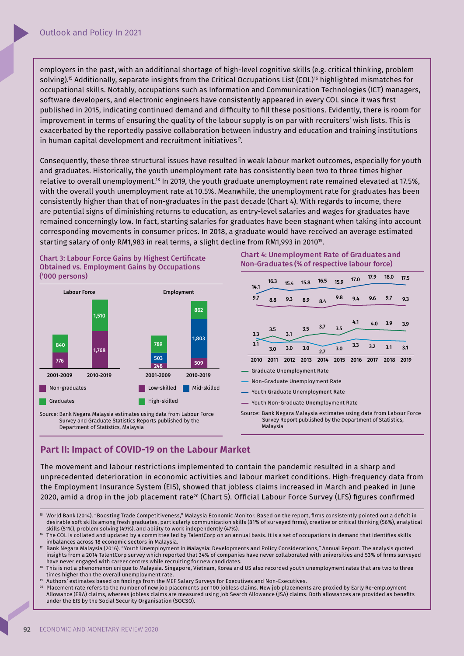employers in the past, with an additional shortage of high-level cognitive skills (e.g. critical thinking, problem solving).<sup>15</sup> Additionally, separate insights from the Critical Occupations List (COL)<sup>16</sup> highlighted mismatches for occupational skills. Notably, occupations such as Information and Communication Technologies (ICT) managers, software developers, and electronic engineers have consistently appeared in every COL since it was first published in 2015, indicating continued demand and difficulty to fill these positions. Evidently, there is room for improvement in terms of ensuring the quality of the labour supply is on par with recruiters' wish lists. This is exacerbated by the reportedly passive collaboration between industry and education and training institutions in human capital development and recruitment initiatives $^{\scriptscriptstyle 7}$ .

Consequently, these three structural issues have resulted in weak labour market outcomes, especially for youth and graduates. Historically, the youth unemployment rate has consistently been two to three times higher relative to overall unemployment.<sup>18</sup> In 2019, the youth graduate unemployment rate remained elevated at 17.5%, with the overall youth unemployment rate at 10.5%. Meanwhile, the unemployment rate for graduates has been consistently higher than that of non-graduates in the past decade (Chart 4). With regards to income, there are potential signs of diminishing returns to education, as entry-level salaries and wages for graduates have remained concerningly low. In fact, starting salaries for graduates have been stagnant when taking into account corresponding movements in consumer prices. In 2018, a graduate would have received an average estimated starting salary of only RM1,983 in real terms, a slight decline from RM1,993 in 2010<sup>19</sup> .

Chart 3: Labour Force Gains by Highest Certificate Obtained vs. Employment Gains by Occupations ('000 persons)



Source: Bank Negara Malaysia estimates using data from Labour Force Survey and Graduate Statistics Reports published by the Department of Statistics, Malaysia

### Chart 4: Unemployment Rate of Graduates and Non-Graduates (% of respective labour force)



# **Part II: Impact of COVID-19 on the Labour Market**

The movement and labour restrictions implemented to contain the pandemic resulted in a sharp and unprecedented deterioration in economic activities and labour market conditions. High-frequency data from the Employment Insurance System (EIS), showed that jobless claims increased in March and peaked in June 2020, amid a drop in the job placement rate<sup>20</sup> (Chart 5). Official Labour Force Survey (LFS) figures confirmed

Malaysia

Authors<sup>7</sup> estimates based on findings from the MEF Salary Surveys for Executives and Non-Executives.

World Bank (2014). "Boosting Trade Competitiveness," Malaysia Economic Monitor. Based on the report, firms consistently pointed out a deficit in desirable soft skills among fresh graduates, particularly communication skills (81% of surveyed firms), creative or critical thinking (56%), analytical skills (51%), problem solving (49%), and ability to work independently (47%).

The COL is collated and updated by a committee led by TalentCorp on an annual basis. It is a set of occupations in demand that identifies skills imbalances across 18 economic sectors in Malaysia.

<sup>17</sup> Bank Negara Malaysia (2016). "Youth Unemployment in Malaysia: Developments and Policy Considerations," Annual Report. The analysis quoted insights from a 2014 TalentCorp survey which reported that 34% of companies have never collaborated with universities and 53% of firms surveyed have never engaged with career centres while recruiting for new candidates.

This is not a phenomenon unique to Malaysia. Singapore, Vietnam, Korea and US also recorded youth unemployment rates that are two to three times higher than the overall unemployment rate.

<sup>20</sup> Placement rate refers to the number of new job placements per 100 jobless claims. New job placements are proxied by Early Re-employment Allowance (ERA) claims, whereas jobless claims are measured using Job Search Allowance (JSA) claims. Both allowances are provided as benefits under the EIS by the Social Security Organisation (SOCSO).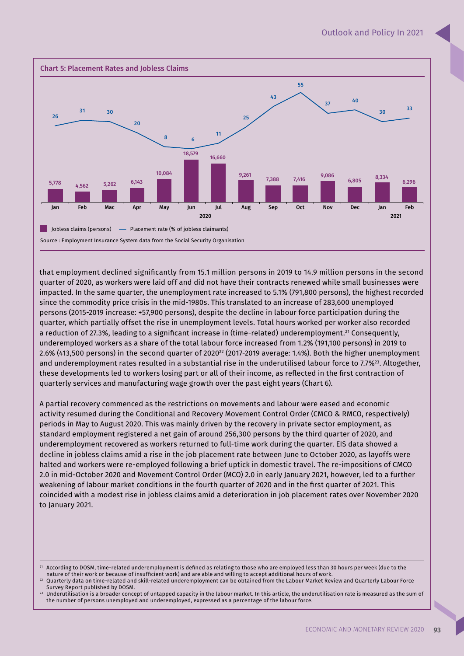

that employment declined significantly from 15.1 million persons in 2019 to 14.9 million persons in the second quarter of 2020, as workers were laid off and did not have their contracts renewed while small businesses were impacted. In the same quarter, the unemployment rate increased to 5.1% (791,800 persons), the highest recorded since the commodity price crisis in the mid-1980s. This translated to an increase of 283,600 unemployed persons (2015-2019 increase: +57,900 persons), despite the decline in labour force participation during the quarter, which partially offset the rise in unemployment levels. Total hours worked per worker also recorded a reduction of 27.3%, leading to a significant increase in (time-related) underemployment.<sup>21</sup> Consequently, underemployed workers as a share of the total labour force increased from 1.2% (191,100 persons) in 2019 to 2.6% (413,500 persons) in the second quarter of 2020<sup>22</sup> (2017-2019 average: 1.4%). Both the higher unemployment and underemployment rates resulted in a substantial rise in the underutilised labour force to 7.7%<sup>23</sup>. Altogether, these developments led to workers losing part or all of their income, as reflected in the first contraction of quarterly services and manufacturing wage growth over the past eight years (Chart 6).

A partial recovery commenced as the restrictions on movements and labour were eased and economic activity resumed during the Conditional and Recovery Movement Control Order (CMCO & RMCO, respectively) periods in May to August 2020. This was mainly driven by the recovery in private sector employment, as standard employment registered a net gain of around 256,300 persons by the third quarter of 2020, and underemployment recovered as workers returned to full-time work during the quarter. EIS data showed a decline in jobless claims amid a rise in the job placement rate between June to October 2020, as layoffs were halted and workers were re-employed following a brief uptick in domestic travel. The re-impositions of CMCO 2.0 in mid-October 2020 and Movement Control Order (MCO) 2.0 in early January 2021, however, led to a further weakening of labour market conditions in the fourth quarter of 2020 and in the first quarter of 2021. This coincided with a modest rise in jobless claims amid a deterioration in job placement rates over November 2020 to January 2021.

According to DOSM, time-related underemployment is defined as relating to those who are employed less than 30 hours per week (due to the nature of their work or because of insufficient work) and are able and willing to accept additional hours of work.

<sup>22</sup> Quarterly data on time-related and skill-related underemployment can be obtained from the Labour Market Review and Quarterly Labour Force Survey Report published by DOSM.

<sup>23</sup> Underutilisation is a broader concept of untapped capacity in the labour market. In this article, the underutilisation rate is measured as the sum of the number of persons unemployed and underemployed, expressed as a percentage of the labour force.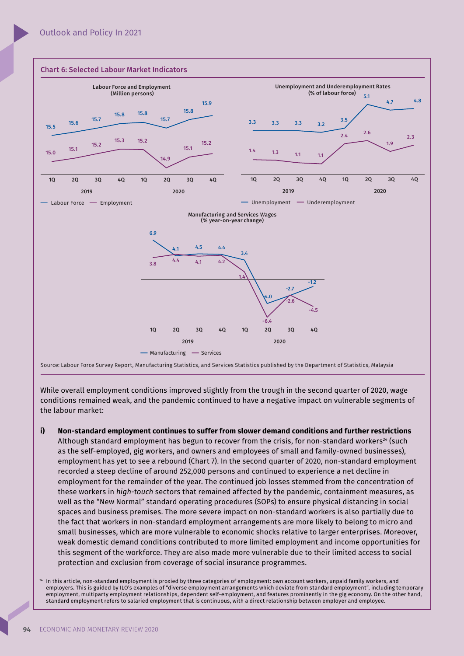

While overall employment conditions improved slightly from the trough in the second quarter of 2020, wage conditions remained weak, and the pandemic continued to have a negative impact on vulnerable segments of the labour market:

**i) Non-standard employment continues to suffer from slower demand conditions and further restrictions**  Although standard employment has begun to recover from the crisis, for non-standard workers<sup>24</sup> (such as the self-employed, gig workers, and owners and employees of small and family-owned businesses), employment has yet to see a rebound (Chart 7). In the second quarter of 2020, non-standard employment recorded a steep decline of around 252,000 persons and continued to experience a net decline in employment for the remainder of the year. The continued job losses stemmed from the concentration of these workers in *high-touch* sectors that remained affected by the pandemic, containment measures, as well as the "New Normal" standard operating procedures (SOPs) to ensure physical distancing in social spaces and business premises. The more severe impact on non-standard workers is also partially due to the fact that workers in non-standard employment arrangements are more likely to belong to micro and small businesses, which are more vulnerable to economic shocks relative to larger enterprises. Moreover, weak domestic demand conditions contributed to more limited employment and income opportunities for this segment of the workforce. They are also made more vulnerable due to their limited access to social protection and exclusion from coverage of social insurance programmes.

In this article, non-standard employment is proxied by three categories of employment: own account workers, unpaid family workers, and employers. This is guided by ILO's examples of "diverse employment arrangements which deviate from standard employment", including temporary employment, multiparty employment relationships, dependent self-employment, and features prominently in the gig economy. On the other hand, standard employment refers to salaried employment that is continuous, with a direct relationship between employer and employee.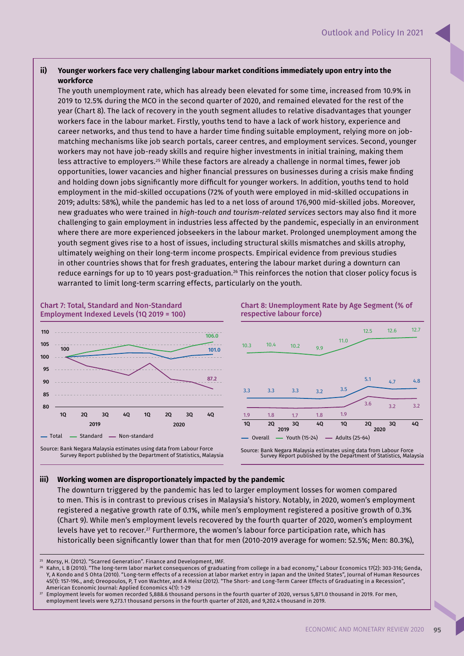### **ii) Younger workers face very challenging labour market conditions immediately upon entry into the workforce**

The youth unemployment rate, which has already been elevated for some time, increased from 10.9% in 2019 to 12.5% during the MCO in the second quarter of 2020, and remained elevated for the rest of the year (Chart 8). The lack of recovery in the youth segment alludes to relative disadvantages that younger workers face in the labour market. Firstly, youths tend to have a lack of work history, experience and career networks, and thus tend to have a harder time finding suitable employment, relying more on jobmatching mechanisms like job search portals, career centres, and employment services. Second, younger workers may not have job-ready skills and require higher investments in initial training, making them less attractive to employers.<sup>25</sup> While these factors are already a challenge in normal times, fewer job opportunities, lower vacancies and higher financial pressures on businesses during a crisis make finding and holding down jobs significantly more difficult for younger workers. In addition, youths tend to hold employment in the mid-skilled occupations (72% of youth were employed in mid-skilled occupations in 2019; adults: 58%), while the pandemic has led to a net loss of around 176,900 mid-skilled jobs. Moreover, new graduates who were trained in *high-touch and tourism-related services* sectors may also find it more challenging to gain employment in industries less affected by the pandemic, especially in an environment where there are more experienced jobseekers in the labour market. Prolonged unemployment among the youth segment gives rise to a host of issues, including structural skills mismatches and skills atrophy, ultimately weighing on their long-term income prospects. Empirical evidence from previous studies in other countries shows that for fresh graduates, entering the labour market during a downturn can reduce earnings for up to 10 years post-graduation.<sup>26</sup> This reinforces the notion that closer policy focus is warranted to limit long-term scarring effects, particularly on the youth.



Survey Report published by the Department of Statistics, Malaysia

#### **iii) Working women are disproportionately impacted by the pandemic**

The downturn triggered by the pandemic has led to larger employment losses for women compared to men. This is in contrast to previous crises in Malaysia's history. Notably, in 2020, women's employment registered a negative growth rate of 0.1%, while men's employment registered a positive growth of 0.3% (Chart 9). While men's employment levels recovered by the fourth quarter of 2020, women's employment levels have yet to recover.<sup>27</sup> Furthermore, the women's labour force participation rate, which has historically been significantly lower than that for men (2010-2019 average for women: 52.5%; Men: 80.3%),

<sup>26</sup> Kahn, L B (2010). "The long-term labor market consequences of graduating from college in a bad economy," Labour Economics 17(2): 303-316; Genda, Y, A Kondo and S Ohta (2010). "Long-term effects of a recession at labor market entry in Japan and the United States", Journal of Human Resources 45(1): 157-196., and; Oreopoulos, P, T von Wachter, and A Heisz (2012). "The Short- and Long-Term Career Effects of Graduating in a Recession", American Economic Journal: Applied Economics 4(1): 1-29

<sup>27</sup> Employment levels for women recorded 5,888.6 thousand persons in the fourth quarter of 2020, versus 5,871.0 thousand in 2019. For men, employment levels were 9,273.1 thousand persons in the fourth quarter of 2020, and 9,202.4 thousand in 2019.

<sup>25</sup> Morsy, H. (2012). "Scarred Generation". Finance and Development, IMF.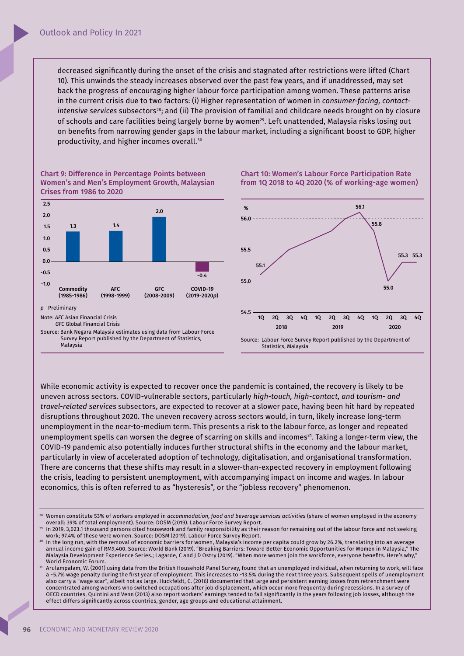decreased significantly during the onset of the crisis and stagnated after restrictions were lifted (Chart 10). This unwinds the steady increases observed over the past few years, and if unaddressed, may set back the progress of encouraging higher labour force participation among women. These patterns arise in the current crisis due to two factors: (i) Higher representation of women in *consumer-facing, contactintensive services* subsectors<sup>28</sup>; and (ii) The provision of familial and childcare needs brought on by closure of schools and care facilities being largely borne by women<sup>29</sup>. Left unattended, Malaysia risks losing out on benefits from narrowing gender gaps in the labour market, including a significant boost to GDP, higher productivity, and higher incomes overall.<sup>30</sup>



Chart 10: Women's Labour Force Participation Rate from 1Q 2018 to 4Q 2020 (% of working-age women)



While economic activity is expected to recover once the pandemic is contained, the recovery is likely to be uneven across sectors. COVID-vulnerable sectors, particularly *high-touch, high-contact, and tourism- and travel-related services* subsectors, are expected to recover at a slower pace, having been hit hard by repeated disruptions throughout 2020. The uneven recovery across sectors would, in turn, likely increase long-term unemployment in the near-to-medium term. This presents a risk to the labour force, as longer and repeated unemployment spells can worsen the degree of scarring on skills and incomes<sup>31</sup>. Taking a longer-term view, the COVID-19 pandemic also potentially induces further structural shifts in the economy and the labour market, particularly in view of accelerated adoption of technology, digitalisation, and organisational transformation. There are concerns that these shifts may result in a slower-than-expected recovery in employment following the crisis, leading to persistent unemployment, with accompanying impact on income and wages. In labour economics, this is often referred to as "hysteresis", or the "jobless recovery" phenomenon.

<sup>29</sup> In 2019, 3,023.1 thousand persons cited housework and family responsibility as their reason for remaining out of the labour force and not seeking work; 97.4% of these were women. Source: DOSM (2019). Labour Force Survey Report.

<sup>28</sup> Women constitute 53% of workers employed in *accommodation, food and beverage services activities* (share of women employed in the economy overall: 39% of total employment). Source: DOSM (2019). Labour Force Survey Report.

<sup>&</sup>lt;sup>30</sup> In the long run, with the removal of economic barriers for women, Malaysia's income per capita could grow by 26.2%, translating into an average annual income gain of RM9,400. Source: World Bank (2019). "Breaking Barriers: Toward Better Economic Opportunities for Women in Malaysia," The Malaysia Development Experience Series.; Lagarde, C and J D Ostry (2019). "When more women join the workforce, everyone benefits. Here's why," World Economic Forum.

<sup>31</sup> Arulampalam, W. (2001) using data from the British Household Panel Survey, found that an unemployed individual, when returning to work, will face a ~5.7% wage penalty during the first year of employment. This increases to ~13.5% during the next three years. Subsequent spells of unemployment also carry a "wage scar", albeit not as large. Huckfeldt, C. (2016) documented that large and persistent earning losses from retrenchment were concentrated among workers who switched occupations after job displacement, which occur more frequently during recessions. In a survey of OECD countries, Quintini and Venn (2013) also report workers' earnings tended to fall significantly in the years following job losses, although the effect differs significantly across countries, gender, age groups and educational attainment.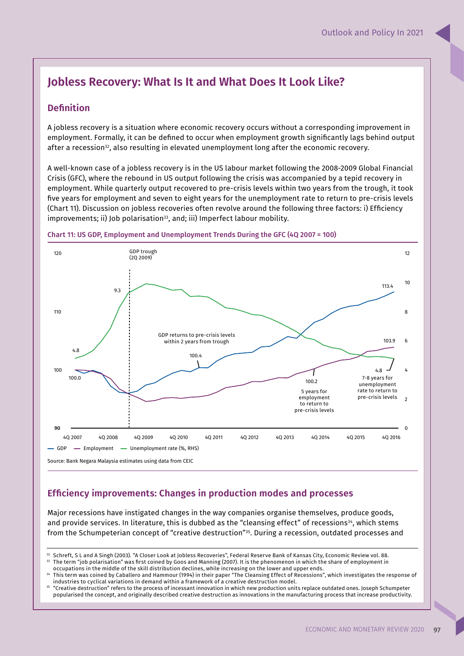# **Jobless Recovery: What Is It and What Does It Look Like?**

# **Definition**

A jobless recovery is a situation where economic recovery occurs without a corresponding improvement in employment. Formally, it can be defined to occur when employment growth significantly lags behind output after a recession<sup>32</sup>, also resulting in elevated unemployment long after the economic recovery.

A well-known case of a jobless recovery is in the US labour market following the 2008-2009 Global Financial Crisis (GFC), where the rebound in US output following the crisis was accompanied by a tepid recovery in employment. While quarterly output recovered to pre-crisis levels within two years from the trough, it took five years for employment and seven to eight years for the unemployment rate to return to pre-crisis levels (Chart 11). Discussion on jobless recoveries often revolve around the following three factors: i) Efficiency improvements; ii) Job polarisation<sup>33</sup>, and; iii) Imperfect labour mobility.



#### Chart 11: US GDP, Employment and Unemployment Trends During the GFC (4Q 2007 = 100)

# **Efficiency improvements: Changes in production modes and processes**

Major recessions have instigated changes in the way companies organise themselves, produce goods, and provide services. In literature, this is dubbed as the "cleansing effect" of recessions<sup>34</sup>, which stems from the Schumpeterian concept of "creative destruction"35. During a recession, outdated processes and

<sup>&</sup>lt;sup>32</sup> Schreft, S L and A Singh (2003). "A Closer Look at Jobless Recoveries", Federal Reserve Bank of Kansas City, Economic Review vol. 88.<br><sup>33</sup> The term "ich polarisation" was first coined by Gose and Manning (2007). It i The term "job polarisation" was first coined by Goos and Manning (2007). It is the phenomenon in which the share of employment in

occupations in the middle of the skill distribution declines, while increasing on the lower and upper ends.

<sup>&</sup>lt;sup>34</sup> This term was coined by Caballero and Hammour (1994) in their paper "The Cleansing Effect of Recessions", which investigates the response of industries to cyclical variations in demand within a framework of a creative destruction model.

<sup>35</sup> "Creative destruction" refers to the process of incessant innovation in which new production units replace outdated ones. Joseph Schumpeter popularised the concept, and originally described creative destruction as innovations in the manufacturing process that increase productivity.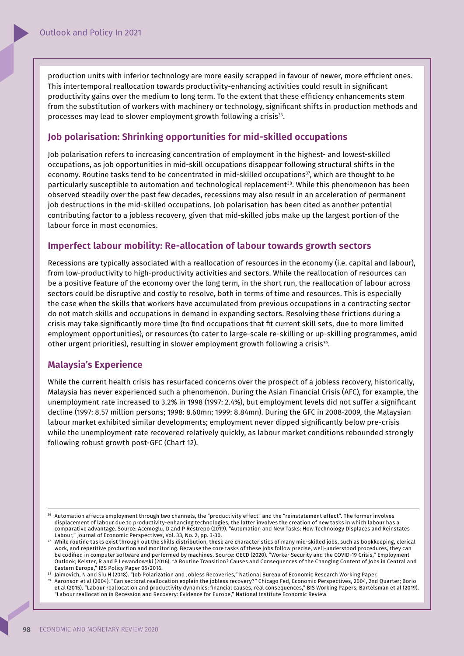production units with inferior technology are more easily scrapped in favour of newer, more efficient ones. This intertemporal reallocation towards productivity-enhancing activities could result in significant productivity gains over the medium to long term. To the extent that these efficiency enhancements stem from the substitution of workers with machinery or technology, significant shifts in production methods and processes may lead to slower employment growth following a crisis $^{36}\cdot$ 

## **Job polarisation: Shrinking opportunities for mid-skilled occupations**

Job polarisation refers to increasing concentration of employment in the highest- and lowest-skilled occupations, as job opportunities in mid-skill occupations disappear following structural shifts in the economy. Routine tasks tend to be concentrated in mid-skilled occupations<sup>37</sup>, which are thought to be particularly susceptible to automation and technological replacement<sup>38</sup>. While this phenomenon has been observed steadily over the past few decades, recessions may also result in an acceleration of permanent job destructions in the mid-skilled occupations. Job polarisation has been cited as another potential contributing factor to a jobless recovery, given that mid-skilled jobs make up the largest portion of the labour force in most economies.

## **Imperfect labour mobility: Re-allocation of labour towards growth sectors**

Recessions are typically associated with a reallocation of resources in the economy (i.e. capital and labour), from low-productivity to high-productivity activities and sectors. While the reallocation of resources can be a positive feature of the economy over the long term, in the short run, the reallocation of labour across sectors could be disruptive and costly to resolve, both in terms of time and resources. This is especially the case when the skills that workers have accumulated from previous occupations in a contracting sector do not match skills and occupations in demand in expanding sectors. Resolving these frictions during a crisis may take significantly more time (to find occupations that fit current skill sets, due to more limited employment opportunities), or resources (to cater to large-scale re-skilling or up-skilling programmes, amid other urgent priorities), resulting in slower employment growth following a crisis $^{\scriptscriptstyle 39}$ .

## **Malaysia's Experience**

While the current health crisis has resurfaced concerns over the prospect of a jobless recovery, historically, Malaysia has never experienced such a phenomenon. During the Asian Financial Crisis (AFC), for example, the unemployment rate increased to 3.2% in 1998 (1997: 2.4%), but employment levels did not suffer a significant decline (1997: 8.57 million persons; 1998: 8.60mn; 1999: 8.84mn). During the GFC in 2008-2009, the Malaysian labour market exhibited similar developments; employment never dipped significantly below pre-crisis while the unemployment rate recovered relatively quickly, as labour market conditions rebounded strongly following robust growth post-GFC (Chart 12).

<sup>39</sup> Aaronson et al (2004). "Can sectoral reallocation explain the jobless recovery?" Chicago Fed, Economic Perspectives, 2004, 2nd Quarter; Borio et al (2015). "Labour reallocation and productivity dynamics: financial causes, real consequences," BIS Working Papers; Bartelsman et al (2019). "Labour reallocation in Recession and Recovery: Evidence for Europe," National Institute Economic Review.

<sup>&</sup>lt;sup>36</sup> Automation affects employment through two channels, the "productivity effect" and the "reinstatement effect". The former involves displacement of labour due to productivity-enhancing technologies; the latter involves the creation of new tasks in which labour has a comparative advantage. Source: Acemoglu, D and P Restrepo (2019). "Automation and New Tasks: How Technology Displaces and Reinstates Labour," Journal of Economic Perspectives, Vol. 33, No. 2, pp. 3-30.

<sup>37</sup> While routine tasks exist through out the skills distribution, these are characteristics of many mid-skilled jobs, such as bookkeeping, clerical work, and repetitive production and monitoring. Because the core tasks of these jobs follow precise, well-understood procedures, they can be codified in computer software and performed by machines. Source: OECD (2020). "Worker Security and the COVID-19 Crisis," Employment Outlook; Keister, R and P Lewandowski (2016). "A Routine Transition? Causes and Consequences of the Changing Content of Jobs in Central and Eastern Europe," IBS Policy Paper 05/2016.

<sup>38</sup> Jaimovich, N and Siu H (2018). "Job Polarization and Jobless Recoveries," National Bureau of Economic Research Working Paper.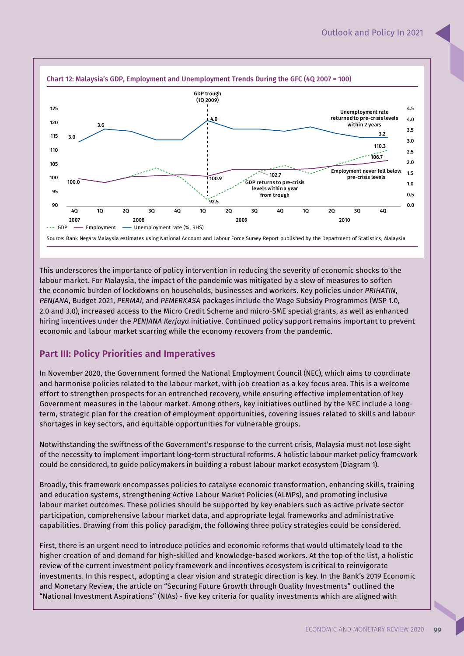

This underscores the importance of policy intervention in reducing the severity of economic shocks to the labour market. For Malaysia, the impact of the pandemic was mitigated by a slew of measures to soften the economic burden of lockdowns on households, businesses and workers. Key policies under *PRIHATIN, PENJANA*, Budget 2021, *PERMAI*, and *PEMERKASA* packages include the Wage Subsidy Programmes (WSP 1.0, 2.0 and 3.0), increased access to the Micro Credit Scheme and micro-SME special grants, as well as enhanced hiring incentives under the *PENJANA Kerjaya* initiative. Continued policy support remains important to prevent economic and labour market scarring while the economy recovers from the pandemic.

# **Part III: Policy Priorities and Imperatives**

In November 2020, the Government formed the National Employment Council (NEC), which aims to coordinate and harmonise policies related to the labour market, with job creation as a key focus area. This is a welcome effort to strengthen prospects for an entrenched recovery, while ensuring effective implementation of key Government measures in the labour market. Among others, key initiatives outlined by the NEC include a longterm, strategic plan for the creation of employment opportunities, covering issues related to skills and labour shortages in key sectors, and equitable opportunities for vulnerable groups.

Notwithstanding the swiftness of the Government's response to the current crisis, Malaysia must not lose sight of the necessity to implement important long-term structural reforms. A holistic labour market policy framework could be considered, to guide policymakers in building a robust labour market ecosystem (Diagram 1).

Broadly, this framework encompasses policies to catalyse economic transformation, enhancing skills, training and education systems, strengthening Active Labour Market Policies (ALMPs), and promoting inclusive labour market outcomes. These policies should be supported by key enablers such as active private sector participation, comprehensive labour market data, and appropriate legal frameworks and administrative capabilities. Drawing from this policy paradigm, the following three policy strategies could be considered.

First, there is an urgent need to introduce policies and economic reforms that would ultimately lead to the higher creation of and demand for high-skilled and knowledge-based workers. At the top of the list, a holistic review of the current investment policy framework and incentives ecosystem is critical to reinvigorate investments. In this respect, adopting a clear vision and strategic direction is key. In the Bank's 2019 Economic and Monetary Review, the article on "Securing Future Growth through Quality Investments" outlined the "National Investment Aspirations" (NIAs) - five key criteria for quality investments which are aligned with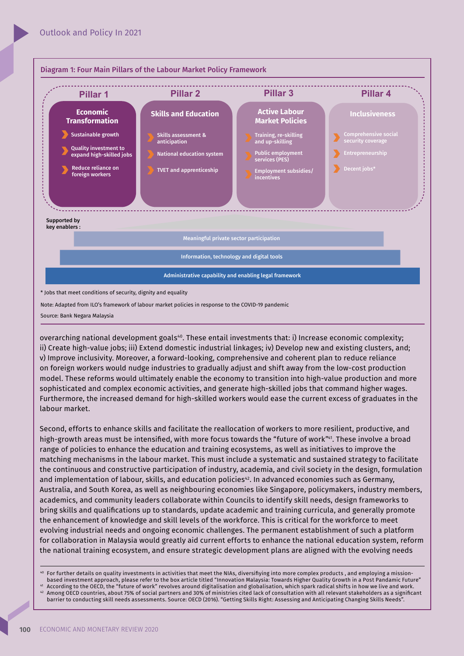

Source: Bank Negara Malaysia

overarching national development goals<sup>40</sup>. These entail investments that: i) Increase economic complexity; ii) Create high-value jobs; iii) Extend domestic industrial linkages; iv) Develop new and existing clusters, and; v) Improve inclusivity. Moreover, a forward-looking, comprehensive and coherent plan to reduce reliance on foreign workers would nudge industries to gradually adjust and shift away from the low-cost production model. These reforms would ultimately enable the economy to transition into high-value production and more sophisticated and complex economic activities, and generate high-skilled jobs that command higher wages. Furthermore, the increased demand for high-skilled workers would ease the current excess of graduates in the labour market.

Second, efforts to enhance skills and facilitate the reallocation of workers to more resilient, productive, and high-growth areas must be intensified, with more focus towards the "future of work"<sup>41</sup>. These involve a broad range of policies to enhance the education and training ecosystems, as well as initiatives to improve the matching mechanisms in the labour market. This must include a systematic and sustained strategy to facilitate the continuous and constructive participation of industry, academia, and civil society in the design, formulation and implementation of labour, skills, and education policies<sup>42</sup>. In advanced economies such as Germany, Australia, and South Korea, as well as neighbouring economies like Singapore, policymakers, industry members, academics, and community leaders collaborate within Councils to identify skill needs, design frameworks to bring skills and qualifications up to standards, update academic and training curricula, and generally promote the enhancement of knowledge and skill levels of the workforce. This is critical for the workforce to meet evolving industrial needs and ongoing economic challenges. The permanent establishment of such a platform for collaboration in Malaysia would greatly aid current efforts to enhance the national education system, reform the national training ecosystem, and ensure strategic development plans are aligned with the evolving needs

<sup>41</sup> According to the OECD, the "future of work" revolves around digitalisation and globalisation, which spark radical shifts in how we live and work.  $42$  Among OECD countries, about 75% of social partners and 30% of ministries cited lack of consultation with all relevant stakeholders as a significant barrier to conducting skill needs assessments. Source: OECD (2016). "Getting Skills Right: Assessing and Anticipating Changing Skills Needs".

For further details on quality investments in activities that meet the NIAs, diversifiying into more complex products, and employing a missionbased investment approach, please refer to the box article titled "Innovation Malaysia: Towards Higher Quality Growth in a Post Pandamic Future"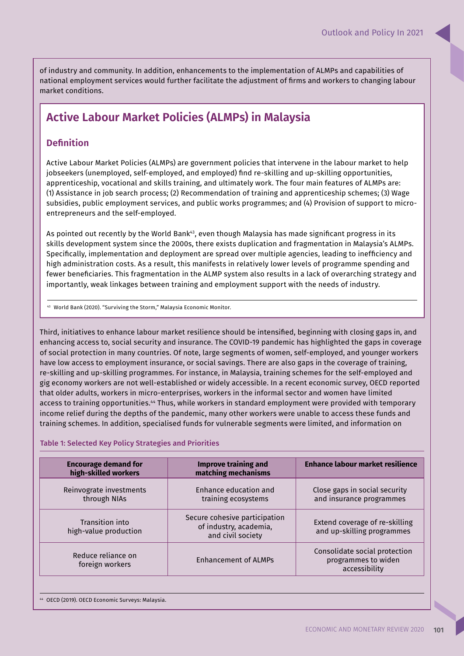of industry and community. In addition, enhancements to the implementation of ALMPs and capabilities of national employment services would further facilitate the adjustment of firms and workers to changing labour market conditions.

# **Active Labour Market Policies (ALMPs) in Malaysia**

# **Definition**

Active Labour Market Policies (ALMPs) are government policies that intervene in the labour market to help jobseekers (unemployed, self-employed, and employed) find re-skilling and up-skilling opportunities, apprenticeship, vocational and skills training, and ultimately work. The four main features of ALMPs are: (1) Assistance in job search process; (2) Recommendation of training and apprenticeship schemes; (3) Wage subsidies, public employment services, and public works programmes; and (4) Provision of support to microentrepreneurs and the self-employed.

As pointed out recently by the World Bank<sup>43</sup>, even though Malaysia has made significant progress in its skills development system since the 2000s, there exists duplication and fragmentation in Malaysia's ALMPs. Specifically, implementation and deployment are spread over multiple agencies, leading to inefficiency and high administration costs. As a result, this manifests in relatively lower levels of programme spending and fewer beneficiaries. This fragmentation in the ALMP system also results in a lack of overarching strategy and importantly, weak linkages between training and employment support with the needs of industry.

<sup>43</sup> World Bank (2020). "Surviving the Storm," Malaysia Economic Monitor.

Third, initiatives to enhance labour market resilience should be intensified, beginning with closing gaps in, and enhancing access to, social security and insurance. The COVID-19 pandemic has highlighted the gaps in coverage of social protection in many countries. Of note, large segments of women, self-employed, and younger workers have low access to employment insurance, or social savings. There are also gaps in the coverage of training, re-skilling and up-skilling programmes. For instance, in Malaysia, training schemes for the self-employed and gig economy workers are not well-established or widely accessible. In a recent economic survey, OECD reported that older adults, workers in micro-enterprises, workers in the informal sector and women have limited access to training opportunities.<sup>44</sup> Thus, while workers in standard employment were provided with temporary income relief during the depths of the pandemic, many other workers were unable to access these funds and training schemes. In addition, specialised funds for vulnerable segments were limited, and information on

### Table 1: Selected Key Policy Strategies and Priorities

| <b>Encourage demand for</b><br>high-skilled workers | <b>Improve training and</b><br>matching mechanisms                           | Enhance labour market resilience                                      |  |  |
|-----------------------------------------------------|------------------------------------------------------------------------------|-----------------------------------------------------------------------|--|--|
| Reinvograte investments<br>through NIAs             | Enhance education and<br>training ecosystems                                 | Close gaps in social security<br>and insurance programmes             |  |  |
| Transition into<br>high-value production            | Secure cohesive participation<br>of industry, academia,<br>and civil society | Extend coverage of re-skilling<br>and up-skilling programmes          |  |  |
| Reduce reliance on<br>foreign workers               | <b>Enhancement of ALMPs</b>                                                  | Consolidate social protection<br>programmes to widen<br>accessibility |  |  |

<sup>44</sup> OECD (2019). OECD Economic Surveys: Malaysia.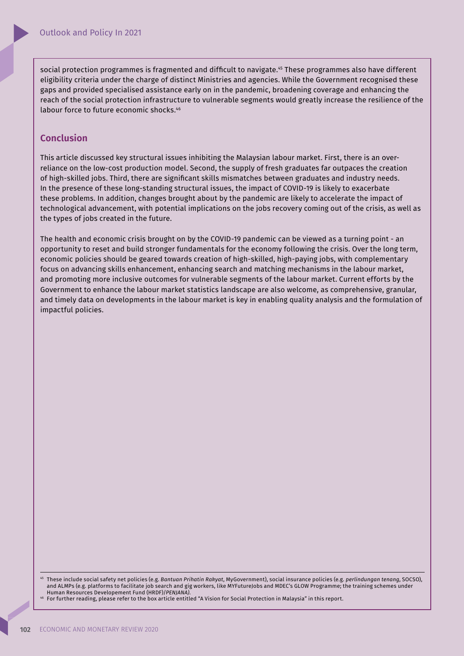social protection programmes is fragmented and difficult to navigate.<sup>45</sup> These programmes also have different eligibility criteria under the charge of distinct Ministries and agencies. While the Government recognised these gaps and provided specialised assistance early on in the pandemic, broadening coverage and enhancing the reach of the social protection infrastructure to vulnerable segments would greatly increase the resilience of the labour force to future economic shocks.<sup>46</sup>

## **Conclusion**

This article discussed key structural issues inhibiting the Malaysian labour market. First, there is an overreliance on the low-cost production model. Second, the supply of fresh graduates far outpaces the creation of high-skilled jobs. Third, there are significant skills mismatches between graduates and industry needs. In the presence of these long-standing structural issues, the impact of COVID-19 is likely to exacerbate these problems. In addition, changes brought about by the pandemic are likely to accelerate the impact of technological advancement, with potential implications on the jobs recovery coming out of the crisis, as well as the types of jobs created in the future.

The health and economic crisis brought on by the COVID-19 pandemic can be viewed as a turning point - an opportunity to reset and build stronger fundamentals for the economy following the crisis. Over the long term, economic policies should be geared towards creation of high-skilled, high-paying jobs, with complementary focus on advancing skills enhancement, enhancing search and matching mechanisms in the labour market, and promoting more inclusive outcomes for vulnerable segments of the labour market. Current efforts by the Government to enhance the labour market statistics landscape are also welcome, as comprehensive, granular, and timely data on developments in the labour market is key in enabling quality analysis and the formulation of impactful policies.

<sup>45</sup> These include social safety net policies (e.g. *Bantuan Prihatin Rakyat*, MyGovernment), social insurance policies (e.g. *perlindungan tenang*, SOCSO), and ALMPs (e.g. platforms to facilitate job search and gig workers, like MYFutureJobs and MDEC's GLOW Programme; the training schemes under Human Resources Developement Fund (HRDF)/*PENJANA)*.

<sup>46</sup> For further reading, please refer to the box article entitled "A Vision for Social Protection in Malaysia" in this report.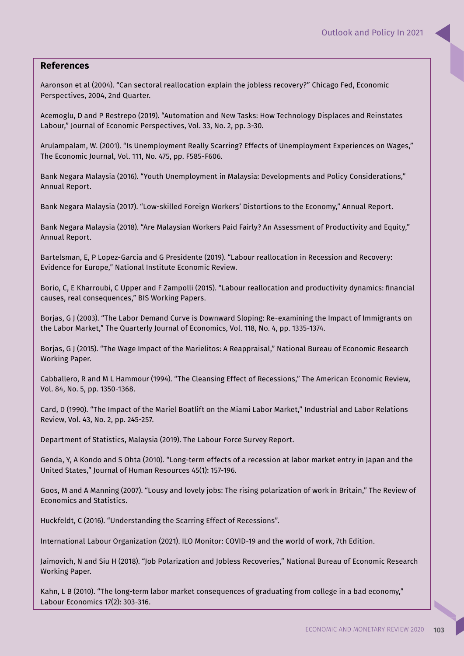## **References**

Aaronson et al (2004). "Can sectoral reallocation explain the jobless recovery?" Chicago Fed, Economic Perspectives, 2004, 2nd Quarter.

Acemoglu, D and P Restrepo (2019). "Automation and New Tasks: How Technology Displaces and Reinstates Labour," Journal of Economic Perspectives, Vol. 33, No. 2, pp. 3-30.

Arulampalam, W. (2001). "Is Unemployment Really Scarring? Effects of Unemployment Experiences on Wages," The Economic Journal, Vol. 111, No. 475, pp. F585-F606.

Bank Negara Malaysia (2016). "Youth Unemployment in Malaysia: Developments and Policy Considerations," Annual Report.

Bank Negara Malaysia (2017). "Low-skilled Foreign Workers' Distortions to the Economy," Annual Report.

Bank Negara Malaysia (2018). "Are Malaysian Workers Paid Fairly? An Assessment of Productivity and Equity," Annual Report.

Bartelsman, E, P Lopez-Garcia and G Presidente (2019). "Labour reallocation in Recession and Recovery: Evidence for Europe," National Institute Economic Review.

Borio, C, E Kharroubi, C Upper and F Zampolli (2015). "Labour reallocation and productivity dynamics: financial causes, real consequences," BIS Working Papers.

Borjas, G J (2003). "The Labor Demand Curve is Downward Sloping: Re-examining the Impact of Immigrants on the Labor Market," The Quarterly Journal of Economics, Vol. 118, No. 4, pp. 1335-1374.

Borjas, G J (2015). "The Wage Impact of the Marielitos: A Reappraisal," National Bureau of Economic Research Working Paper.

Cabballero, R and M L Hammour (1994). "The Cleansing Effect of Recessions," The American Economic Review, Vol. 84, No. 5, pp. 1350-1368.

Card, D (1990). "The Impact of the Mariel Boatlift on the Miami Labor Market," Industrial and Labor Relations Review, Vol. 43, No. 2, pp. 245-257.

Department of Statistics, Malaysia (2019). The Labour Force Survey Report.

Genda, Y, A Kondo and S Ohta (2010). "Long-term effects of a recession at labor market entry in Japan and the United States," Journal of Human Resources 45(1): 157-196.

Goos, M and A Manning (2007). "Lousy and lovely jobs: The rising polarization of work in Britain," The Review of Economics and Statistics.

Huckfeldt, C (2016). "Understanding the Scarring Effect of Recessions".

International Labour Organization (2021). ILO Monitor: COVID-19 and the world of work, 7th Edition.

Jaimovich, N and Siu H (2018). "Job Polarization and Jobless Recoveries," National Bureau of Economic Research Working Paper.

Kahn, L B (2010). "The long-term labor market consequences of graduating from college in a bad economy," Labour Economics 17(2): 303-316.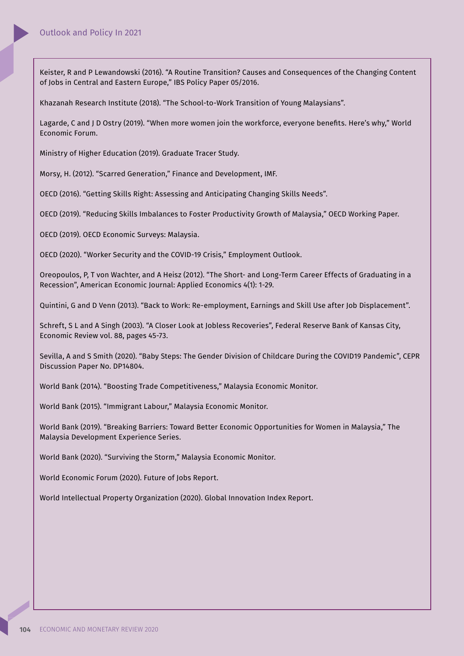Keister, R and P Lewandowski (2016). "A Routine Transition? Causes and Consequences of the Changing Content of Jobs in Central and Eastern Europe," IBS Policy Paper 05/2016.

Khazanah Research Institute (2018). "The School-to-Work Transition of Young Malaysians".

Lagarde, C and J D Ostry (2019). "When more women join the workforce, everyone benefits. Here's why," World Economic Forum.

Ministry of Higher Education (2019). Graduate Tracer Study.

Morsy, H. (2012). "Scarred Generation," Finance and Development, IMF.

OECD (2016). "Getting Skills Right: Assessing and Anticipating Changing Skills Needs".

OECD (2019). "Reducing Skills Imbalances to Foster Productivity Growth of Malaysia," OECD Working Paper.

OECD (2019). OECD Economic Surveys: Malaysia.

OECD (2020). "Worker Security and the COVID-19 Crisis," Employment Outlook.

Oreopoulos, P, T von Wachter, and A Heisz (2012). "The Short- and Long-Term Career Effects of Graduating in a Recession", American Economic Journal: Applied Economics 4(1): 1-29.

Quintini, G and D Venn (2013). "Back to Work: Re-employment, Earnings and Skill Use after Job Displacement".

Schreft, S L and A Singh (2003). "A Closer Look at Jobless Recoveries", Federal Reserve Bank of Kansas City, Economic Review vol. 88, pages 45-73.

Sevilla, A and S Smith (2020). "Baby Steps: The Gender Division of Childcare During the COVID19 Pandemic", CEPR Discussion Paper No. DP14804.

World Bank (2014). "Boosting Trade Competitiveness," Malaysia Economic Monitor.

World Bank (2015). "Immigrant Labour," Malaysia Economic Monitor.

World Bank (2019). "Breaking Barriers: Toward Better Economic Opportunities for Women in Malaysia," The Malaysia Development Experience Series.

World Bank (2020). "Surviving the Storm," Malaysia Economic Monitor.

World Economic Forum (2020). Future of Jobs Report.

World Intellectual Property Organization (2020). Global Innovation Index Report.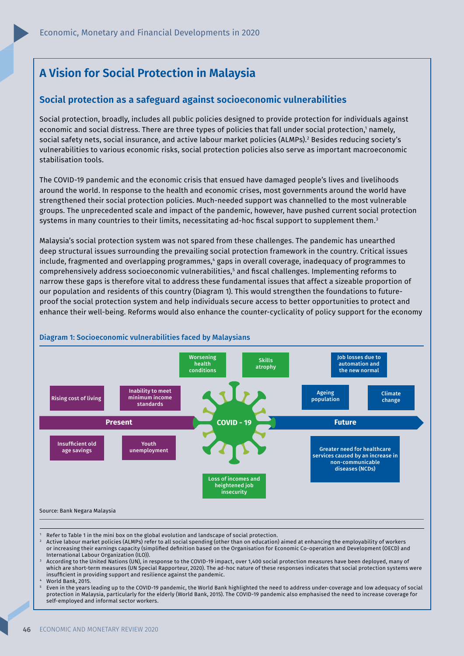# **A Vision for Social Protection in Malaysia**

## **Social protection as a safeguard against socioeconomic vulnerabilities**

Social protection, broadly, includes all public policies designed to provide protection for individuals against economic and social distress. There are three types of policies that fall under social protection,' namely, social safety nets, social insurance, and active labour market policies (ALMPs).<sup>2</sup> Besides reducing society's vulnerabilities to various economic risks, social protection policies also serve as important macroeconomic stabilisation tools.

The COVID-19 pandemic and the economic crisis that ensued have damaged people's lives and livelihoods around the world. In response to the health and economic crises, most governments around the world have strengthened their social protection policies. Much-needed support was channelled to the most vulnerable groups. The unprecedented scale and impact of the pandemic, however, have pushed current social protection systems in many countries to their limits, necessitating ad-hoc fiscal support to supplement them.<sup>3</sup>

Malaysia's social protection system was not spared from these challenges. The pandemic has unearthed deep structural issues surrounding the prevailing social protection framework in the country. Critical issues include, fragmented and overlapping programmes,4 gaps in overall coverage, inadequacy of programmes to comprehensively address socioeconomic vulnerabilities,<sup>s</sup> and fiscal challenges. Implementing reforms to narrow these gaps is therefore vital to address these fundamental issues that affect a sizeable proportion of our population and residents of this country (Diagram 1). This would strengthen the foundations to futureproof the social protection system and help individuals secure access to better opportunities to protect and enhance their well-being. Reforms would also enhance the counter-cyclicality of policy support for the economy



#### Diagram 1: Socioeconomic vulnerabilities faced by Malaysians

- 1 Refer to Table 1 in the mini box on the global evolution and landscape of social protection.
- 2 Active labour market policies (ALMPs) refer to all social spending (other than on education) aimed at enhancing the employability of workers or increasing their earnings capacity (simplified definition based on the Organisation for Economic Co-operation and Development (OECD) and International Labour Organization (ILO)).
- 3 According to the United Nations (UN), in response to the COVID-19 impact, over 1,400 social protection measures have been deployed, many of which are short-term measures (UN Special Rapporteur, 2020). The ad-hoc nature of these responses indicates that social protection systems were insufficient in providing support and resilience against the pandemic.
- 4 World Bank, 2015.
- 5 Even in the years leading up to the COVID-19 pandemic, the World Bank highlighted the need to address under-coverage and low adequacy of social protection in Malaysia, particularly for the elderly (World Bank, 2015). The COVID-19 pandemic also emphasised the need to increase coverage for self-employed and informal sector workers.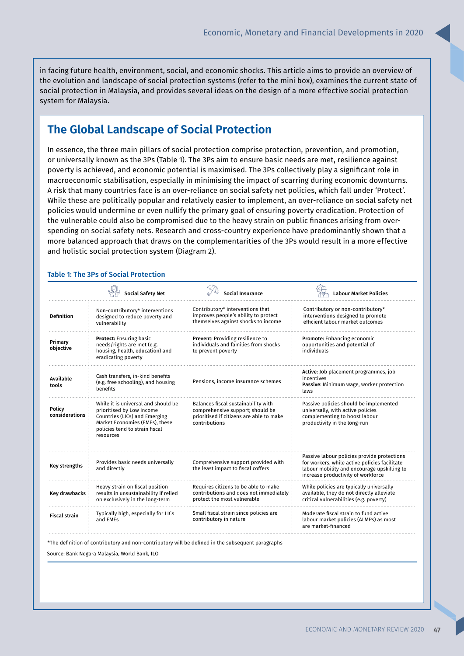in facing future health, environment, social, and economic shocks. This article aims to provide an overview of the evolution and landscape of social protection systems (refer to the mini box), examines the current state of social protection in Malaysia, and provides several ideas on the design of a more effective social protection system for Malaysia.

# **The Global Landscape of Social Protection**

In essence, the three main pillars of social protection comprise protection, prevention, and promotion, or universally known as the 3Ps (Table 1). The 3Ps aim to ensure basic needs are met, resilience against poverty is achieved, and economic potential is maximised. The 3Ps collectively play a significant role in macroeconomic stabilisation, especially in minimising the impact of scarring during economic downturns. A risk that many countries face is an over-reliance on social safety net policies, which fall under 'Protect'. While these are politically popular and relatively easier to implement, an over-reliance on social safety net policies would undermine or even nullify the primary goal of ensuring poverty eradication. Protection of the vulnerable could also be compromised due to the heavy strain on public finances arising from overspending on social safety nets. Research and cross-country experience have predominantly shown that a more balanced approach that draws on the complementarities of the 3Ps would result in a more effective and holistic social protection system (Diagram 2).

### Table 1: The 3Ps of Social Protection

|                          | Social Safety Net                                                                                                                                                                  | Social Insurance                                                                                                                     | <b>Labour Market Policies</b>                                                                                                                                                     |
|--------------------------|------------------------------------------------------------------------------------------------------------------------------------------------------------------------------------|--------------------------------------------------------------------------------------------------------------------------------------|-----------------------------------------------------------------------------------------------------------------------------------------------------------------------------------|
| <b>Definition</b>        | Non-contributory* interventions<br>designed to reduce poverty and<br>vulnerability                                                                                                 | Contributory* interventions that<br>improves people's ability to protect<br>themselves against shocks to income                      | Contributory or non-contributory*<br>interventions designed to promote<br>efficient labour market outcomes                                                                        |
| Primary<br>objective     | <b>Protect:</b> Ensuring basic<br>needs/rights are met (e.g.<br>housing, health, education) and<br>eradicating poverty                                                             | Prevent: Providing resilience to<br>individuals and families from shocks<br>to prevent poverty                                       | Promote: Enhancing economic<br>opportunities and potential of<br>individuals                                                                                                      |
| Available<br>tools       | Cash transfers, in-kind benefits<br>(e.g. free schooling), and housing<br>benefits                                                                                                 | Pensions, income insurance schemes                                                                                                   | Active: Job placement programmes, job<br>incentives<br>Passive: Minimum wage, worker protection<br>laws                                                                           |
| Policy<br>considerations | While it is universal and should be<br>prioritised by Low Income<br>Countries (LICs) and Emerging<br>Market Economies (EMEs), these<br>policies tend to strain fiscal<br>resources | Balances fiscal sustainability with<br>comprehensive support; should be<br>prioritised if citizens are able to make<br>contributions | Passive policies should be implemented<br>universally, with active policies<br>complementing to boost labour<br>productivity in the long-run                                      |
| Key strengths            | Provides basic needs universally<br>and directly                                                                                                                                   | Comprehensive support provided with<br>the least impact to fiscal coffers                                                            | Passive labour policies provide protections<br>for workers, while active policies facilitate<br>labour mobility and encourage upskilling to<br>increase productivity of workforce |
| Key drawbacks            | Heavy strain on fiscal position<br>results in unsustainability if relied<br>on exclusively in the long-term                                                                        | Requires citizens to be able to make<br>contributions and does not immediately<br>protect the most vulnerable                        | While policies are typically universally<br>available, they do not directly alleviate<br>critical vulnerabilities (e.g. poverty)                                                  |
| <b>Fiscal strain</b>     | Typically high, especially for LICs<br>and EMEs                                                                                                                                    | Small fiscal strain since policies are<br>contributory in nature                                                                     | Moderate fiscal strain to fund active<br>labour market policies (ALMPs) as most<br>are market-financed                                                                            |
|                          | Source: Bank Negara Malaysia. World Bank. ILO                                                                                                                                      | *The definition of contributory and non-contributory will be defined in the subsequent paragraphs                                    |                                                                                                                                                                                   |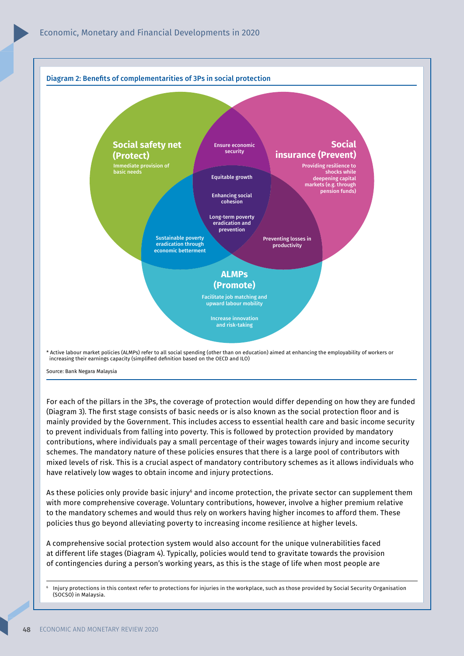

Source: Bank Negara Malaysia

For each of the pillars in the 3Ps, the coverage of protection would differ depending on how they are funded (Diagram 3). The first stage consists of basic needs or is also known as the social protection floor and is mainly provided by the Government. This includes access to essential health care and basic income security to prevent individuals from falling into poverty. This is followed by protection provided by mandatory contributions, where individuals pay a small percentage of their wages towards injury and income security schemes. The mandatory nature of these policies ensures that there is a large pool of contributors with mixed levels of risk. This is a crucial aspect of mandatory contributory schemes as it allows individuals who have relatively low wages to obtain income and injury protections.

As these policies only provide basic injury<sup>6</sup> and income protection, the private sector can supplement them with more comprehensive coverage. Voluntary contributions, however, involve a higher premium relative to the mandatory schemes and would thus rely on workers having higher incomes to afford them. These policies thus go beyond alleviating poverty to increasing income resilience at higher levels.

A comprehensive social protection system would also account for the unique vulnerabilities faced at different life stages (Diagram 4). Typically, policies would tend to gravitate towards the provision of contingencies during a person's working years, as this is the stage of life when most people are

<sup>6</sup> Injury protections in this context refer to protections for injuries in the workplace, such as those provided by Social Security Organisation (SOCSO) in Malaysia.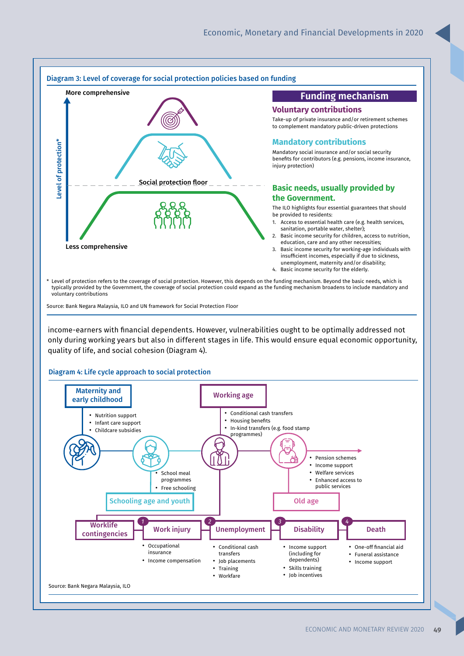

Source: Bank Negara Malaysia, ILO and UN framework for Social Protection Floor

income-earners with financial dependents. However, vulnerabilities ought to be optimally addressed not only during working years but also in different stages in life. This would ensure equal economic opportunity, quality of life, and social cohesion (Diagram 4).

Diagram 4: Life cycle approach to social protection

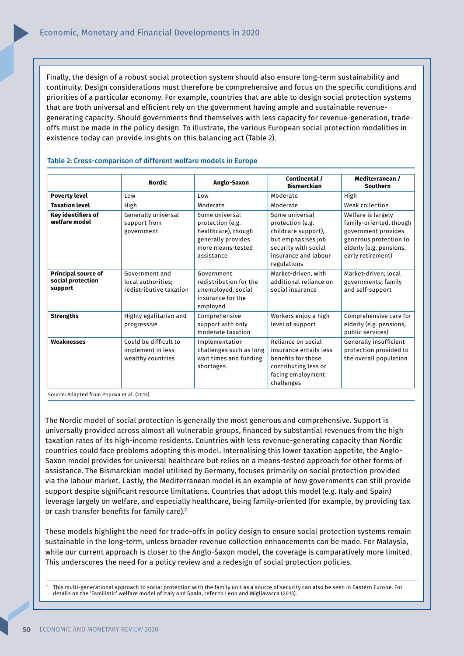Finally, the design of a robust social protection system should also ensure long-term sustainability and continuity. Design considerations must therefore be comprehensive and focus on the specific conditions and priorities of a particular economy. For example, countries that are able to design social protection systems that are both universal and efficient rely on the government having ample and sustainable revenuegenerating capacity. Should governments find themselves with less capacity for revenue-generation, tradeoffs must be made in the policy design. To illustrate, the various European social protection modalities in existence today can provide insights on this balancing act (Table 2).

|                                                            | <b>Nordic</b>                                                   | Anglo-Saxon                                                                                                        | Continental /<br><b>Bismarckian</b>                                                                                                            | Mediterranean /<br><b>Southern</b>                                                                                                             |
|------------------------------------------------------------|-----------------------------------------------------------------|--------------------------------------------------------------------------------------------------------------------|------------------------------------------------------------------------------------------------------------------------------------------------|------------------------------------------------------------------------------------------------------------------------------------------------|
| <b>Poverty level</b>                                       | Low                                                             | Low                                                                                                                | Moderate                                                                                                                                       | High                                                                                                                                           |
| <b>Taxation level</b>                                      | High                                                            | Moderate                                                                                                           | Moderate                                                                                                                                       | Weak collection                                                                                                                                |
| Key identifiers of<br>welfare model                        | Generally universal<br>support from<br>government               | Some universal<br>protection (e.g.<br>healthcare), though<br>generally provides<br>more means-tested<br>assistance | Some universal<br>protection (e.g.<br>childcare support),<br>but emphasises job<br>security with social<br>insurance and labour<br>regulations | Welfare is largely<br>family-oriented, though<br>government provides<br>generous protection to<br>elderly (e.g. pensions,<br>early retirement) |
| <b>Principal source of</b><br>social protection<br>support | Government and<br>local authorities;<br>redistributive taxation | Government<br>redistribution for the<br>unemployed, social<br>insurance for the<br>employed                        | Market-driven, with<br>additional reliance on<br>social insurance                                                                              | Market-driven; local<br>governments; family<br>and self-support                                                                                |
| <b>Strengths</b>                                           | Highly egalitarian and<br>progressive                           | Comprehensive<br>support with only<br>moderate taxation                                                            | Workers enjoy a high<br>level of support                                                                                                       | Comprehensive care for<br>elderly (e.g. pensions,<br>public services)                                                                          |
| Weaknesses                                                 | Could be difficult to<br>implement in less<br>wealthy countries | Implementation<br>challenges such as long<br>wait times and funding<br>shortages                                   | Reliance on social<br>insurance entails less<br>benefits for those<br>contributing less or<br>facing employment<br>challenges                  | Generally insufficient<br>protection provided to<br>the overall population                                                                     |

#### Table 2: Cross-comparison of different welfare models in Europe

Source: Adapted from Popova et al. (2013)

The Nordic model of social protection is generally the most generous and comprehensive. Support is universally provided across almost all vulnerable groups, financed by substantial revenues from the high taxation rates of its high-income residents. Countries with less revenue-generating capacity than Nordic countries could face problems adopting this model. Internalising this lower taxation appetite, the Anglo-Saxon model provides for universal healthcare but relies on a means-tested approach for other forms of assistance. The Bismarckian model utilised by Germany, focuses primarily on social protection provided via the labour market. Lastly, the Mediterranean model is an example of how governments can still provide support despite significant resource limitations. Countries that adopt this model (e.g. Italy and Spain) leverage largely on welfare, and especially healthcare, being family-oriented (for example, by providing tax or cash transfer benefits for family care). $7$ 

These models highlight the need for trade-offs in policy design to ensure social protection systems remain sustainable in the long-term, unless broader revenue collection enhancements can be made. For Malaysia, while our current approach is closer to the Anglo-Saxon model, the coverage is comparatively more limited. This underscores the need for a policy review and a redesign of social protection policies.

<sup>7</sup>This multi-generational approach to social protection with the family unit as a source of security can also be seen in Eastern Europe. For details on the 'Familistic' welfare model of Italy and Spain, refer to Leon and Migliavacca (2013).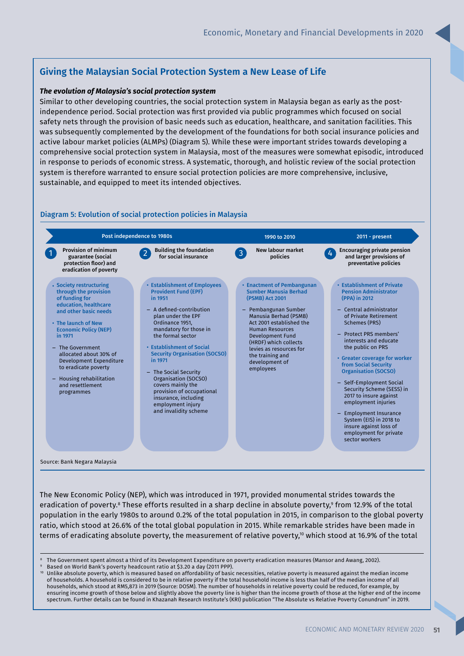# **Giving the Malaysian Social Protection System a New Lease of Life**

### *The evolution of Malaysia's social protection system*

Similar to other developing countries, the social protection system in Malaysia began as early as the postindependence period. Social protection was first provided via public programmes which focused on social safety nets through the provision of basic needs such as education, healthcare, and sanitation facilities. This was subsequently complemented by the development of the foundations for both social insurance policies and active labour market policies (ALMPs) (Diagram 5). While these were important strides towards developing a comprehensive social protection system in Malaysia, most of the measures were somewhat episodic, introduced in response to periods of economic stress. A systematic, thorough, and holistic review of the social protection system is therefore warranted to ensure social protection policies are more comprehensive, inclusive, sustainable, and equipped to meet its intended objectives.

### Diagram 5: Evolution of social protection policies in Malaysia



The New Economic Policy (NEP), which was introduced in 1971, provided monumental strides towards the eradication of poverty.<sup>8</sup> These efforts resulted in a sharp decline in absolute poverty,<sup>9</sup> from 12.9% of the total population in the early 1980s to around 0.2% of the total population in 2015, in comparison to the global poverty ratio, which stood at 26.6% of the total global population in 2015. While remarkable strides have been made in terms of eradicating absolute poverty, the measurement of relative poverty,<sup>10</sup> which stood at 16.9% of the total

- 8 The Government spent almost a third of its Development Expenditure on poverty eradication measures (Mansor and Awang, 2002).
- 9 Based on World Bank's poverty headcount ratio at \$3.20 a day (2011 PPP).
- <sup>10</sup> Unlike absolute poverty, which is measured based on affordability of basic necessities, relative poverty is measured against the median income of households. A household is considered to be in relative poverty if the total household income is less than half of the median income of all households, which stood at RM5,873 in 2019 (Source: DOSM). The number of households in relative poverty could be reduced, for example, by ensuring income growth of those below and slightly above the poverty line is higher than the income growth of those at the higher end of the income spectrum. Further details can be found in Khazanah Research Institute's (KRI) publication "The Absolute vs Relative Poverty Conundrum" in 2019.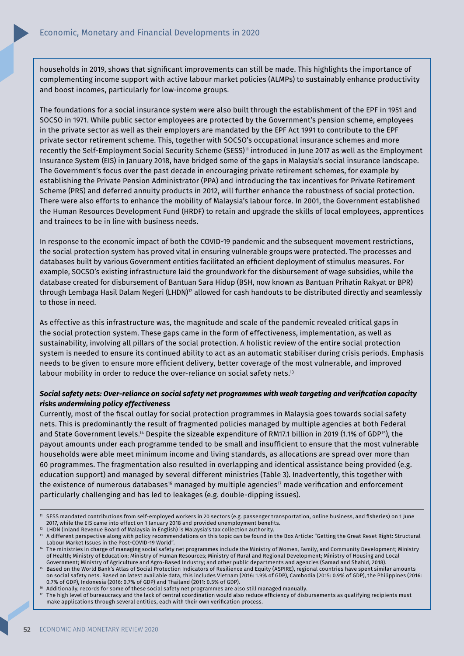households in 2019, shows that significant improvements can still be made. This highlights the importance of complementing income support with active labour market policies (ALMPs) to sustainably enhance productivity and boost incomes, particularly for low-income groups.

The foundations for a social insurance system were also built through the establishment of the EPF in 1951 and SOCSO in 1971. While public sector employees are protected by the Government's pension scheme, employees in the private sector as well as their employers are mandated by the EPF Act 1991 to contribute to the EPF private sector retirement scheme. This, together with SOCSO's occupational insurance schemes and more recently the Self-Employment Social Security Scheme (SESS)<sup>11</sup> introduced in June 2017 as well as the Employment Insurance System (EIS) in January 2018, have bridged some of the gaps in Malaysia's social insurance landscape. The Government's focus over the past decade in encouraging private retirement schemes, for example by establishing the Private Pension Administrator (PPA) and introducing the tax incentives for Private Retirement Scheme (PRS) and deferred annuity products in 2012, will further enhance the robustness of social protection. There were also efforts to enhance the mobility of Malaysia's labour force. In 2001, the Government established the Human Resources Development Fund (HRDF) to retain and upgrade the skills of local employees, apprentices and trainees to be in line with business needs.

In response to the economic impact of both the COVID-19 pandemic and the subsequent movement restrictions, the social protection system has proved vital in ensuring vulnerable groups were protected. The processes and databases built by various Government entities facilitated an efficient deployment of stimulus measures. For example, SOCSO's existing infrastructure laid the groundwork for the disbursement of wage subsidies, while the database created for disbursement of Bantuan Sara Hidup (BSH, now known as Bantuan Prihatin Rakyat or BPR) through Lembaga Hasil Dalam Negeri (LHDN)<sup>12</sup> allowed for cash handouts to be distributed directly and seamlessly to those in need.

As effective as this infrastructure was, the magnitude and scale of the pandemic revealed critical gaps in the social protection system. These gaps came in the form of effectiveness, implementation, as well as sustainability, involving all pillars of the social protection. A holistic review of the entire social protection system is needed to ensure its continued ability to act as an automatic stabiliser during crisis periods. Emphasis needs to be given to ensure more efficient delivery, better coverage of the most vulnerable, and improved labour mobility in order to reduce the over-reliance on social safety nets. 13

## *Social safety nets: Over-reliance on social safety net programmes with weak targeting and verifi cation capacity risks undermining policy effectiveness*

Currently, most of the fiscal outlay for social protection programmes in Malaysia goes towards social safety nets. This is predominantly the result of fragmented policies managed by multiple agencies at both Federal and State Government levels.<sup>14</sup> Despite the sizeable expenditure of RM17.1 billion in 2019 (1.1% of GDP<sup>15</sup>), the payout amounts under each programme tended to be small and insufficient to ensure that the most vulnerable households were able meet minimum income and living standards, as allocations are spread over more than 60 programmes. The fragmentation also resulted in overlapping and identical assistance being provided (e.g. education support) and managed by several different ministries (Table 3). Inadvertently, this together with the existence of numerous databases<sup>16</sup> managed by multiple agencies<sup>17</sup> made verification and enforcement particularly challenging and has led to leakages (e.g. double-dipping issues).

SESS mandated contributions from self-employed workers in 20 sectors (e.g. passenger transportation, online business, and fisheries) on 1 June 2017, while the EIS came into effect on 1 January 2018 and provided unemployment benefits.

<sup>12</sup>LHDN (Inland Revenue Board of Malaysia in English) is Malaysia's tax collection authority. <sup>13</sup>A different perspective along with policy recommendations on this topic can be found in the Box Article: "Getting the Great Reset Right: Structural

Labour Market Issues in the Post-COVID-19 World". The ministries in charge of managing social safety net programmes include the Ministry of Women, Family, and Community Development; Ministry

of Health; Ministry of Education; Ministry of Human Resources; Ministry of Rural and Regional Development; Ministry of Housing and Local Government; Ministry of Agriculture and Agro-Based Industry; and other public departments and agencies (Samad and Shahid, 2018).

<sup>15</sup>Based on the World Bank's Atlas of Social Protection Indicators of Resilience and Equity (ASPIRE), regional countries have spent similar amounts on social safety nets. Based on latest available data, this includes Vietnam (2016: 1.9% of GDP), Cambodia (2015: 0.9% of GDP), the Philippines (2016: 0.7% of GDP), Indonesia (2016: 0.7% of GDP) and Thailand (2011: 0.5% of GDP).

<sup>&</sup>lt;sup>16</sup> Additionally, records for some of these social safety net programmes are also still managed manually.<br><sup>17</sup> The bigh lovel of hypoucracy and the lack of contral coordination would also reduce of ficiency of dich

The high level of bureaucracy and the lack of central coordination would also reduce efficiency of disbursements as qualifying recipients must make applications through several entities, each with their own verification process.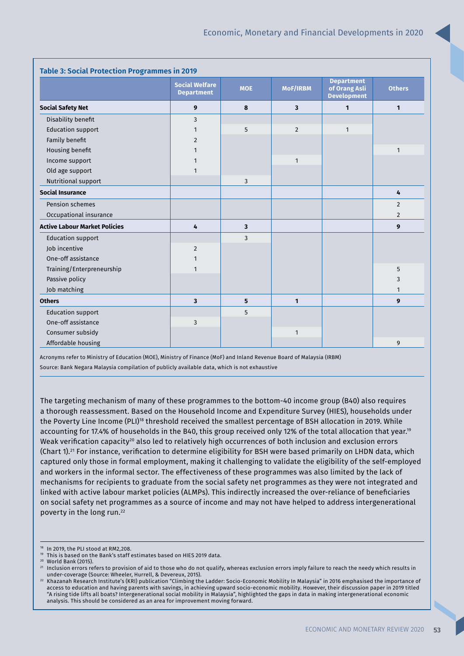| <b>Table 3: Social Protection Programmes in 2019</b> |                                            |            |                |                                                          |                |
|------------------------------------------------------|--------------------------------------------|------------|----------------|----------------------------------------------------------|----------------|
|                                                      | <b>Social Welfare</b><br><b>Department</b> | <b>MOE</b> | MoF/IRBM       | <b>Department</b><br>of Orang Asli<br><b>Development</b> | <b>Others</b>  |
| <b>Social Safety Net</b>                             | 9                                          | 8          | 3              | $\mathbf{1}$                                             | 1              |
| Disability benefit                                   | 3                                          |            |                |                                                          |                |
| <b>Education support</b>                             | 1                                          | 5          | $\overline{2}$ | $\mathbf{1}$                                             |                |
| Family benefit                                       | $\overline{2}$                             |            |                |                                                          |                |
| Housing benefit                                      | $\mathbf{1}$                               |            |                |                                                          | $\mathbf{1}$   |
| Income support                                       |                                            |            | 1              |                                                          |                |
| Old age support                                      | 1                                          |            |                |                                                          |                |
| Nutritional support                                  |                                            | 3          |                |                                                          |                |
| <b>Social Insurance</b>                              |                                            |            |                |                                                          | 4              |
| Pension schemes                                      |                                            |            |                |                                                          | $\overline{2}$ |
| Occupational insurance                               |                                            |            |                |                                                          | $\overline{2}$ |
| <b>Active Labour Market Policies</b>                 | 4                                          | 3          |                |                                                          | 9              |
| <b>Education support</b>                             |                                            | 3          |                |                                                          |                |
| <b>Iob</b> incentive                                 | $\overline{2}$                             |            |                |                                                          |                |
| One-off assistance                                   | 1                                          |            |                |                                                          |                |
| Training/Enterpreneurship                            | 1                                          |            |                |                                                          | 5              |
| Passive policy                                       |                                            |            |                |                                                          | 3              |
| Job matching                                         |                                            |            |                |                                                          | $\mathbf{1}$   |
| <b>Others</b>                                        | 3                                          | 5          | $\mathbf{1}$   |                                                          | 9              |
| <b>Education support</b>                             |                                            | 5          |                |                                                          |                |
| One-off assistance                                   | 3                                          |            |                |                                                          |                |
| Consumer subsidy                                     |                                            |            | $\mathbf{1}$   |                                                          |                |
| Affordable housing                                   |                                            |            |                |                                                          | 9              |

Acronyms refer to Ministry of Education (MOE), Ministry of Finance (MoF) and Inland Revenue Board of Malaysia (IRBM) Source: Bank Negara Malaysia compilation of publicly available data, which is not exhaustive

The targeting mechanism of many of these programmes to the bottom-40 income group (B40) also requires a thorough reassessment. Based on the Household Income and Expenditure Survey (HIES), households under the Poverty Line Income (PLI)<sup>18</sup> threshold received the smallest percentage of BSH allocation in 2019. While accounting for 17.4% of households in the B40, this group received only 12% of the total allocation that year.<sup>19</sup> Weak verification capacity<sup>20</sup> also led to relatively high occurrences of both inclusion and exclusion errors (Chart 1).<sup>21</sup> For instance, verification to determine eligibility for BSH were based primarily on LHDN data, which captured only those in formal employment, making it challenging to validate the eligibility of the self-employed and workers in the informal sector. The effectiveness of these programmes was also limited by the lack of mechanisms for recipients to graduate from the social safety net programmes as they were not integrated and linked with active labour market policies (ALMPs). This indirectly increased the over-reliance of beneficiaries on social safety net programmes as a source of income and may not have helped to address intergenerational poverty in the long run.<sup>22</sup>

<sup>&</sup>lt;sup>18</sup> In 2019, the PLI stood at RM2,208.

This is based on the Bank's staff estimates based on HIES 2019 data.

<sup>20</sup> World Bank (2015).

<sup>&</sup>lt;sup>21</sup> Inclusion errors refers to provision of aid to those who do not qualify, whereas exclusion errors imply failure to reach the needy which results in under-coverage (Source: Wheeler, Hurrell, & Devereux, 2015).

<sup>22</sup> Khazanah Research Institute's (KRI) publication "Climbing the Ladder: Socio-Economic Mobility In Malaysia" in 2016 emphasised the importance of access to education and having parents with savings, in achieving upward socio-economic mobility. However, their discussion paper in 2019 titled "A rising tide lifts all boats? Intergenerational social mobility in Malaysia", highlighted the gaps in data in making intergenerational economic analysis. This should be considered as an area for improvement moving forward.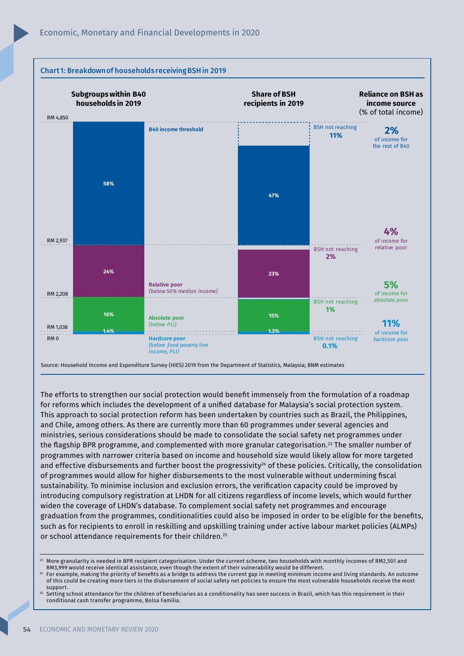

The efforts to strengthen our social protection would benefit immensely from the formulation of a roadmap for reforms which includes the development of a unified database for Malaysia's social protection system. This approach to social protection reform has been undertaken by countries such as Brazil, the Philippines, and Chile, among others. As there are currently more than 60 programmes under several agencies and ministries, serious considerations should be made to consolidate the social safety net programmes under the flagship BPR programme, and complemented with more granular categorisation.<sup>23</sup> The smaller number of programmes with narrower criteria based on income and household size would likely allow for more targeted and effective disbursements and further boost the progressivity $24$  of these policies. Critically, the consolidation of programmes would allow for higher disbursements to the most vulnerable without undermining fiscal sustainability. To minimise inclusion and exclusion errors, the verification capacity could be improved by introducing compulsory registration at LHDN for all citizens regardless of income levels, which would further widen the coverage of LHDN's database. To complement social safety net programmes and encourage graduation from the programmes, conditionalities could also be imposed in order to be eligible for the benefits, such as for recipients to enroll in reskilling and upskilling training under active labour market policies (ALMPs) or school attendance requirements for their children.<sup>25</sup>

For example, making the priority of benefits as a bridge to address the current gap in meeting minimum income and living standards. An outcome of this could be creating more tiers in the disbursement of social safety net policies to ensure the most vulnerable households receive the most support.

Setting school attendance for the children of beneficiaries as a conditionality has seen success in Brazil, which has this requirement in their conditional cash transfer programme, Bolsa Familia.

<sup>23</sup> More granularity is needed in BPR recipient categorisation. Under the current scheme, two households with monthly incomes of RM2,501 and RM3,999 would receive identical assistance, even though the extent of their vulnerability would be different.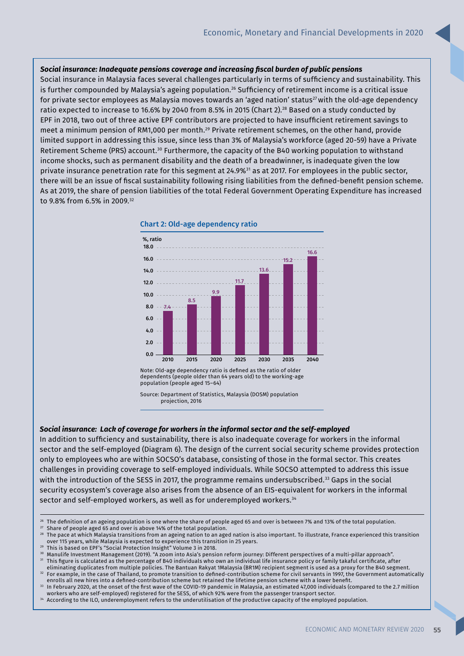#### *Social insurance: Inadequate pensions coverage and increasing fi scal burden of public pensions*

Social insurance in Malaysia faces several challenges particularly in terms of sufficiency and sustainability. This is further compounded by Malaysia's ageing population.<sup>26</sup> Sufficiency of retirement income is a critical issue for private sector employees as Malaysia moves towards an 'aged nation' status<sup>27</sup> with the old-age dependency ratio expected to increase to 16.6% by 2040 from 8.5% in 2015 (Chart 2).<sup>28</sup> Based on a study conducted by EPF in 2018, two out of three active EPF contributors are projected to have insufficient retirement savings to meet a minimum pension of RM1,000 per month.<sup>29</sup> Private retirement schemes, on the other hand, provide limited support in addressing this issue, since less than 3% of Malaysia's workforce (aged 20-59) have a Private Retirement Scheme (PRS) account.<sup>30</sup> Furthermore, the capacity of the B40 working population to withstand income shocks, such as permanent disability and the death of a breadwinner, is inadequate given the low private insurance penetration rate for this segment at 24.9%<sup>31</sup> as at 2017. For employees in the public sector, there will be an issue of fiscal sustainability following rising liabilities from the defined-benefit pension scheme. As at 2019, the share of pension liabilities of the total Federal Government Operating Expenditure has increased to 9.8% from 6.5% in 2009.<sup>32</sup>



Note: Old-age dependency ratio is defined as the ratio of older dependents (people older than 64 years old) to the working-age population (people aged 15–64)

#### *Social insurance: Lack of coverage for workers in the informal sector and the self-employed*

In addition to sufficiency and sustainability, there is also inadequate coverage for workers in the informal sector and the self-employed (Diagram 6). The design of the current social security scheme provides protection only to employees who are within SOCSO's database, consisting of those in the formal sector. This creates challenges in providing coverage to self-employed individuals. While SOCSO attempted to address this issue with the introduction of the SESS in 2017, the programme remains undersubscribed.<sup>33</sup> Gaps in the social security ecosystem's coverage also arises from the absence of an EIS-equivalent for workers in the informal sector and self-employed workers, as well as for underemployed workers.<sup>34</sup>

<sup>27</sup> Share of people aged 65 and over is above 14% of the total population.

Source: Department of Statistics, Malaysia (DOSM) population projection, 2016

<sup>&</sup>lt;sup>26</sup> The definition of an ageing population is one where the share of people aged 65 and over is between 7% and 13% of the total population.

 $^{28}$  The pace at which Malaysia transitions from an ageing nation to an aged nation is also important. To illustrate, France experienced this transition over 115 years, while Malaysia is expected to experience this transition in 25 years.

<sup>29</sup> This is based on EPF's "Social Protection Insight" Volume 3 in 2018.

<sup>30</sup> Manulife Investment Management (2019). "A zoom into Asia's pension reform journey: Different perspectives of a multi-pillar approach".

 $^{\rm 31}$  This figure is calculated as the percentage of B40 individuals who own an individual life insurance policy or family takaful certificate, after eliminating duplicates from multiple policies. The Bantuan Rakyat 1Malaysia (BR1M) recipient segment is used as a proxy for the B40 segment. <sup>32</sup> For example, in the case of Thailand, to promote transition to defined-contribution scheme for civil servants in 1997, the Government automatically

enrolls all new hires into a defined-contribution scheme but retained the lifetime pension scheme with a lower benefit.  $33$  In February 2020, at the onset of the first wave of the COVID-19 pandemic in Malaysia, an estimated 47,000 individuals (compared to the 2.7 million

workers who are self-employed) registered for the SESS, of which 92% were from the passenger transport sector.

<sup>&</sup>lt;sup>34</sup> According to the ILO, underemployment refers to the underutilisation of the productive capacity of the employed population.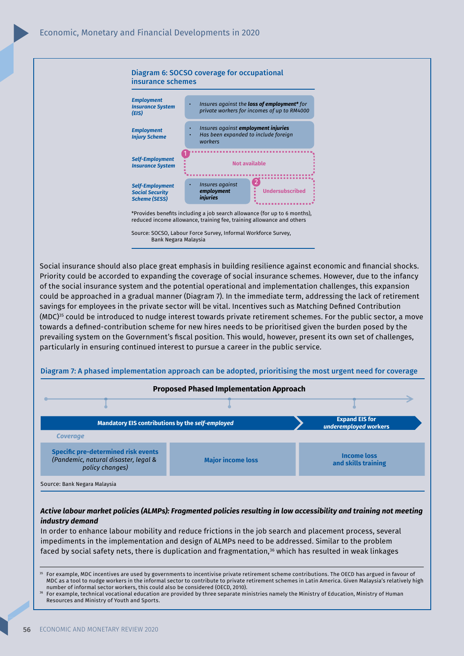

Source: SOCSO, Labour Force Survey, Informal Workforce Survey, Bank Negara Malaysia

Social insurance should also place great emphasis in building resilience against economic and financial shocks. Priority could be accorded to expanding the coverage of social insurance schemes. However, due to the infancy of the social insurance system and the potential operational and implementation challenges, this expansion could be approached in a gradual manner (Diagram 7). In the immediate term, addressing the lack of retirement savings for employees in the private sector will be vital. Incentives such as Matching Defined Contribution (MDC)<sup>35</sup> could be introduced to nudge interest towards private retirement schemes. For the public sector, a move towards a defined-contribution scheme for new hires needs to be prioritised given the burden posed by the prevailing system on the Government's fiscal position. This would, however, present its own set of challenges, particularly in ensuring continued interest to pursue a career in the public service.



Diagram 7: A phased implementation approach can be adopted, prioritising the most urgent need for coverage

### *Active labour market policies (ALMPs): Fragmented policies resulting in low accessibility and training not meeting industry demand*

In order to enhance labour mobility and reduce frictions in the job search and placement process, several impediments in the implementation and design of ALMPs need to be addressed. Similar to the problem faced by social safety nets, there is duplication and fragmentation,<sup>36</sup> which has resulted in weak linkages

For example, MDC incentives are used by governments to incentivise private retirement scheme contributions. The OECD has argued in favour of MDC as a tool to nudge workers in the informal sector to contribute to private retirement schemes in Latin America. Given Malaysia's relatively high number of informal sector workers, this could also be considered (OECD, 2010).

<sup>36</sup> For example, technical vocational education are provided by three separate ministries namely the Ministry of Education, Ministry of Human Resources and Ministry of Youth and Sports.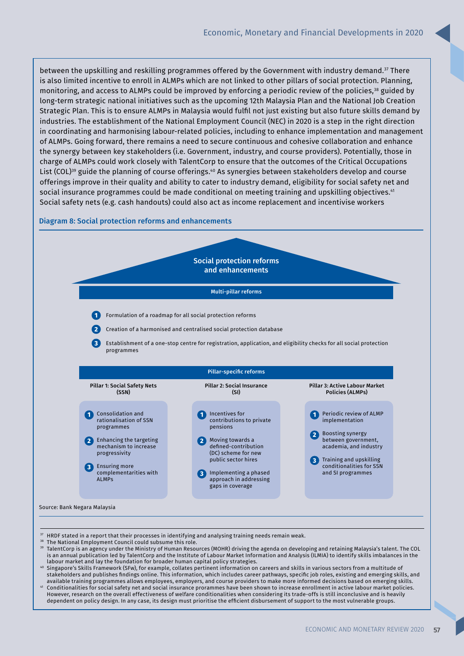between the upskilling and reskilling programmes offered by the Government with industry demand.<sup>37</sup> There is also limited incentive to enroll in ALMPs which are not linked to other pillars of social protection. Planning, monitoring, and access to ALMPs could be improved by enforcing a periodic review of the policies,<sup>38</sup> guided by long-term strategic national initiatives such as the upcoming 12th Malaysia Plan and the National Job Creation Strategic Plan. This is to ensure ALMPs in Malaysia would fulfil not just existing but also future skills demand by industries. The establishment of the National Employment Council (NEC) in 2020 is a step in the right direction in coordinating and harmonising labour-related policies, including to enhance implementation and management of ALMPs. Going forward, there remains a need to secure continuous and cohesive collaboration and enhance the synergy between key stakeholders (i.e. Government, industry, and course providers). Potentially, those in charge of ALMPs could work closely with TalentCorp to ensure that the outcomes of the Critical Occupations List (COL)<sup>39</sup> guide the planning of course offerings.<sup>40</sup> As synergies between stakeholders develop and course offerings improve in their quality and ability to cater to industry demand, eligibility for social safety net and social insurance programmes could be made conditional on meeting training and upskilling objectives.<sup>41</sup> Social safety nets (e.g. cash handouts) could also act as income replacement and incentivise workers

#### Diagram 8: Social protection reforms and enhancements



- <sup>37</sup> HRDF stated in a report that their processes in identifying and analysing training needs remain weak.
- The National Employment Council could subsume this role.
- <sup>39</sup> TalentCorp is an agency under the Ministry of Human Resources (MOHR) driving the agenda on developing and retaining Malaysia's talent. The COL is an annual publication led by TalentCorp and the Institute of Labour Market Information and Analysis (ILMIA) to identify skills imbalances in the labour market and lay the foundation for broader human capital policy strategies.
- <sup>40</sup> Singapore's Skills Framework (SFw), for example, collates pertinent information on careers and skills in various sectors from a multitude of stakeholders and publishes findings online. This information, which includes career pathways, specific job roles, existing and emerging skills, and available training programmes allows employees, employers, and course providers to make more informed decisions based on emerging skills.
- <sup>41</sup> Conditionalities for social safety net and social insurance prorammes have been shown to increase enrollment in active labour market policies. However, research on the overall effectiveness of welfare conditionalities when considering its trade-offs is still inconclusive and is heavily dependent on policy design. In any case, its design must prioritise the efficient disbursement of support to the most vulnerable groups.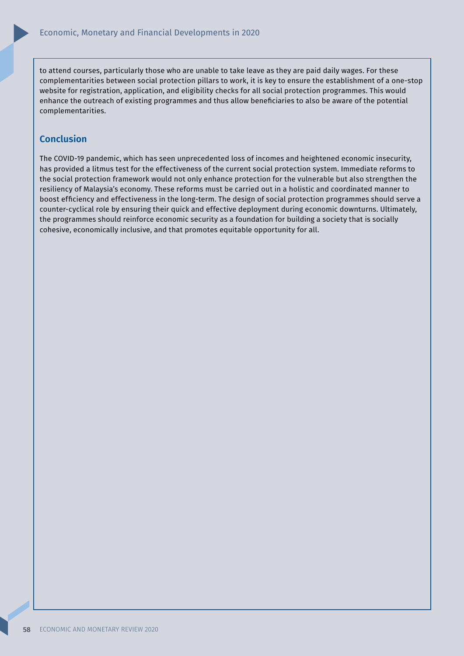to attend courses, particularly those who are unable to take leave as they are paid daily wages. For these complementarities between social protection pillars to work, it is key to ensure the establishment of a one-stop website for registration, application, and eligibility checks for all social protection programmes. This would enhance the outreach of existing programmes and thus allow beneficiaries to also be aware of the potential complementarities.

## **Conclusion**

The COVID-19 pandemic, which has seen unprecedented loss of incomes and heightened economic insecurity, has provided a litmus test for the effectiveness of the current social protection system. Immediate reforms to the social protection framework would not only enhance protection for the vulnerable but also strengthen the resiliency of Malaysia's economy. These reforms must be carried out in a holistic and coordinated manner to boost efficiency and effectiveness in the long-term. The design of social protection programmes should serve a counter-cyclical role by ensuring their quick and effective deployment during economic downturns. Ultimately, the programmes should reinforce economic security as a foundation for building a society that is socially cohesive, economically inclusive, and that promotes equitable opportunity for all.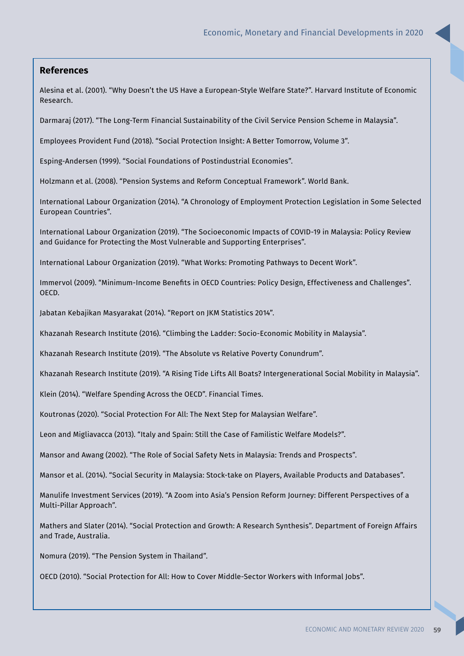## **References**

Alesina et al. (2001). "Why Doesn't the US Have a European-Style Welfare State?". Harvard Institute of Economic Research.

Darmaraj (2017). "The Long-Term Financial Sustainability of the Civil Service Pension Scheme in Malaysia".

Employees Provident Fund (2018). "Social Protection Insight: A Better Tomorrow, Volume 3".

Esping-Andersen (1999). "Social Foundations of Postindustrial Economies".

Holzmann et al. (2008). "Pension Systems and Reform Conceptual Framework". World Bank.

International Labour Organization (2014). "A Chronology of Employment Protection Legislation in Some Selected European Countries".

International Labour Organization (2019). "The Socioeconomic Impacts of COVID-19 in Malaysia: Policy Review and Guidance for Protecting the Most Vulnerable and Supporting Enterprises".

International Labour Organization (2019). "What Works: Promoting Pathways to Decent Work".

Immervol (2009). "Minimum-Income Benefits in OECD Countries: Policy Design, Effectiveness and Challenges". OECD.

Jabatan Kebajikan Masyarakat (2014). "Report on JKM Statistics 2014".

Khazanah Research Institute (2016). "Climbing the Ladder: Socio-Economic Mobility in Malaysia".

Khazanah Research Institute (2019). "The Absolute vs Relative Poverty Conundrum".

Khazanah Research Institute (2019). "A Rising Tide Lifts All Boats? Intergenerational Social Mobility in Malaysia".

Klein (2014). "Welfare Spending Across the OECD". Financial Times.

Koutronas (2020). "Social Protection For All: The Next Step for Malaysian Welfare".

Leon and Migliavacca (2013). "Italy and Spain: Still the Case of Familistic Welfare Models?".

Mansor and Awang (2002). "The Role of Social Safety Nets in Malaysia: Trends and Prospects".

Mansor et al. (2014). "Social Security in Malaysia: Stock-take on Players, Available Products and Databases".

Manulife Investment Services (2019). "A Zoom into Asia's Pension Reform Journey: Different Perspectives of a Multi-Pillar Approach".

Mathers and Slater (2014). "Social Protection and Growth: A Research Synthesis". Department of Foreign Affairs and Trade, Australia.

Nomura (2019). "The Pension System in Thailand".

OECD (2010). "Social Protection for All: How to Cover Middle-Sector Workers with Informal Jobs".